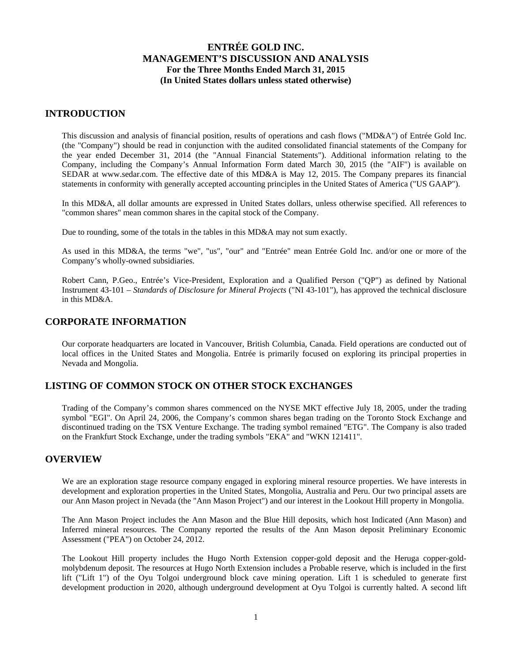### **INTRODUCTION**

This discussion and analysis of financial position, results of operations and cash flows ("MD&A") of Entrée Gold Inc. (the "Company") should be read in conjunction with the audited consolidated financial statements of the Company for the year ended December 31, 2014 (the "Annual Financial Statements"). Additional information relating to the Company, including the Company's Annual Information Form dated March 30, 2015 (the "AIF") is available on SEDAR at www.sedar.com. The effective date of this MD&A is May 12, 2015. The Company prepares its financial statements in conformity with generally accepted accounting principles in the United States of America ("US GAAP").

In this MD&A, all dollar amounts are expressed in United States dollars, unless otherwise specified. All references to "common shares" mean common shares in the capital stock of the Company.

Due to rounding, some of the totals in the tables in this MD&A may not sum exactly.

As used in this MD&A, the terms "we", "us", "our" and "Entrée" mean Entrée Gold Inc. and/or one or more of the Company's wholly-owned subsidiaries.

Robert Cann, P.Geo., Entrée's Vice-President, Exploration and a Qualified Person ("QP") as defined by National Instrument 43-101 – *Standards of Disclosure for Mineral Projects* ("NI 43-101"), has approved the technical disclosure in this MD&A.

### **CORPORATE INFORMATION**

Our corporate headquarters are located in Vancouver, British Columbia, Canada. Field operations are conducted out of local offices in the United States and Mongolia. Entrée is primarily focused on exploring its principal properties in Nevada and Mongolia.

### **LISTING OF COMMON STOCK ON OTHER STOCK EXCHANGES**

Trading of the Company's common shares commenced on the NYSE MKT effective July 18, 2005, under the trading symbol "EGI". On April 24, 2006, the Company's common shares began trading on the Toronto Stock Exchange and discontinued trading on the TSX Venture Exchange. The trading symbol remained "ETG". The Company is also traded on the Frankfurt Stock Exchange, under the trading symbols "EKA" and "WKN 121411".

### **OVERVIEW**

We are an exploration stage resource company engaged in exploring mineral resource properties. We have interests in development and exploration properties in the United States, Mongolia, Australia and Peru. Our two principal assets are our Ann Mason project in Nevada (the "Ann Mason Project") and our interest in the Lookout Hill property in Mongolia.

The Ann Mason Project includes the Ann Mason and the Blue Hill deposits, which host Indicated (Ann Mason) and Inferred mineral resources. The Company reported the results of the Ann Mason deposit Preliminary Economic Assessment ("PEA") on October 24, 2012.

The Lookout Hill property includes the Hugo North Extension copper-gold deposit and the Heruga copper-goldmolybdenum deposit. The resources at Hugo North Extension includes a Probable reserve, which is included in the first lift ("Lift 1") of the Oyu Tolgoi underground block cave mining operation. Lift 1 is scheduled to generate first development production in 2020, although underground development at Oyu Tolgoi is currently halted. A second lift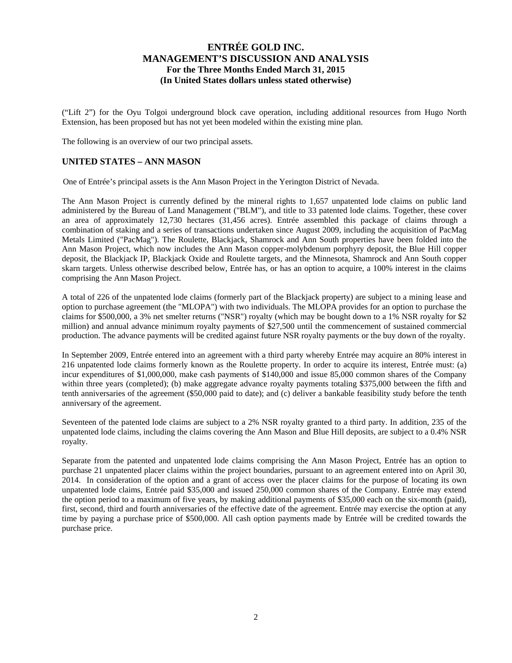("Lift 2") for the Oyu Tolgoi underground block cave operation, including additional resources from Hugo North Extension, has been proposed but has not yet been modeled within the existing mine plan.

The following is an overview of our two principal assets.

### **UNITED STATES – ANN MASON**

One of Entrée's principal assets is the Ann Mason Project in the Yerington District of Nevada.

The Ann Mason Project is currently defined by the mineral rights to 1,657 unpatented lode claims on public land administered by the Bureau of Land Management ("BLM"), and title to 33 patented lode claims. Together, these cover an area of approximately 12,730 hectares (31,456 acres). Entrée assembled this package of claims through a combination of staking and a series of transactions undertaken since August 2009, including the acquisition of PacMag Metals Limited ("PacMag"). The Roulette, Blackjack, Shamrock and Ann South properties have been folded into the Ann Mason Project, which now includes the Ann Mason copper-molybdenum porphyry deposit, the Blue Hill copper deposit, the Blackjack IP, Blackjack Oxide and Roulette targets, and the Minnesota, Shamrock and Ann South copper skarn targets. Unless otherwise described below, Entrée has, or has an option to acquire, a 100% interest in the claims comprising the Ann Mason Project.

A total of 226 of the unpatented lode claims (formerly part of the Blackjack property) are subject to a mining lease and option to purchase agreement (the "MLOPA") with two individuals. The MLOPA provides for an option to purchase the claims for \$500,000, a 3% net smelter returns ("NSR") royalty (which may be bought down to a 1% NSR royalty for \$2 million) and annual advance minimum royalty payments of \$27,500 until the commencement of sustained commercial production. The advance payments will be credited against future NSR royalty payments or the buy down of the royalty.

In September 2009, Entrée entered into an agreement with a third party whereby Entrée may acquire an 80% interest in 216 unpatented lode claims formerly known as the Roulette property. In order to acquire its interest, Entrée must: (a) incur expenditures of \$1,000,000, make cash payments of \$140,000 and issue 85,000 common shares of the Company within three years (completed); (b) make aggregate advance royalty payments totaling \$375,000 between the fifth and tenth anniversaries of the agreement (\$50,000 paid to date); and (c) deliver a bankable feasibility study before the tenth anniversary of the agreement.

Seventeen of the patented lode claims are subject to a 2% NSR royalty granted to a third party. In addition, 235 of the unpatented lode claims, including the claims covering the Ann Mason and Blue Hill deposits, are subject to a 0.4% NSR royalty.

Separate from the patented and unpatented lode claims comprising the Ann Mason Project, Entrée has an option to purchase 21 unpatented placer claims within the project boundaries, pursuant to an agreement entered into on April 30, 2014. In consideration of the option and a grant of access over the placer claims for the purpose of locating its own unpatented lode claims, Entrée paid \$35,000 and issued 250,000 common shares of the Company. Entrée may extend the option period to a maximum of five years, by making additional payments of \$35,000 each on the six-month (paid), first, second, third and fourth anniversaries of the effective date of the agreement. Entrée may exercise the option at any time by paying a purchase price of \$500,000. All cash option payments made by Entrée will be credited towards the purchase price.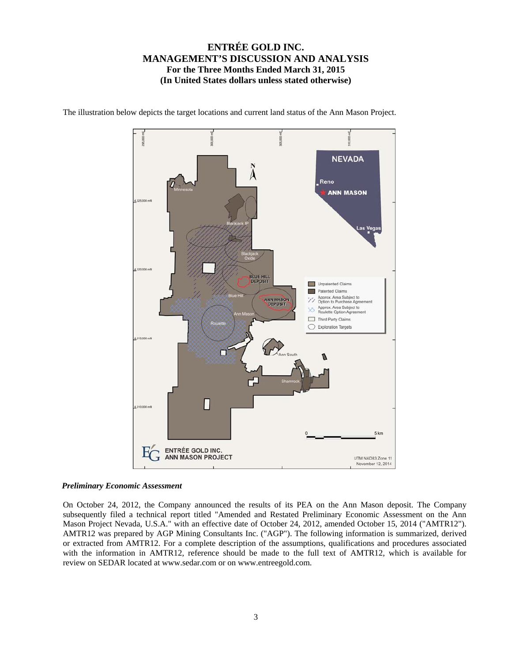

The illustration below depicts the target locations and current land status of the Ann Mason Project.

### *Preliminary Economic Assessment*

On October 24, 2012, the Company announced the results of its PEA on the Ann Mason deposit. The Company subsequently filed a technical report titled "Amended and Restated Preliminary Economic Assessment on the Ann Mason Project Nevada, U.S.A." with an effective date of October 24, 2012, amended October 15, 2014 ("AMTR12"). AMTR12 was prepared by AGP Mining Consultants Inc. ("AGP"). The following information is summarized, derived or extracted from AMTR12. For a complete description of the assumptions, qualifications and procedures associated with the information in AMTR12, reference should be made to the full text of AMTR12, which is available for review on SEDAR located at www.sedar.com or on www.entreegold.com.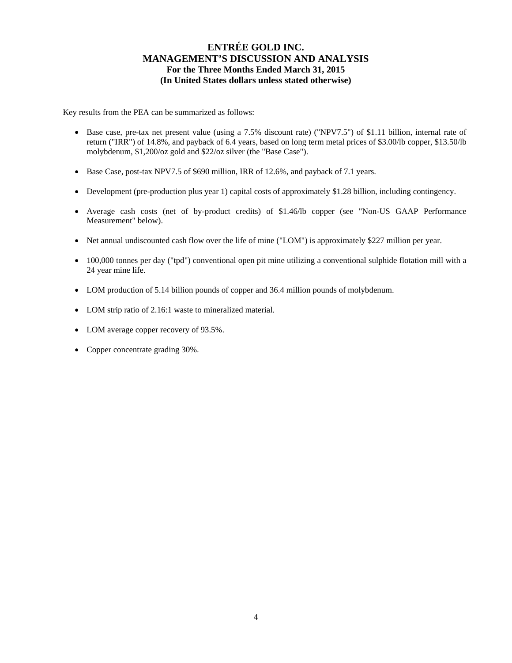Key results from the PEA can be summarized as follows:

- Base case, pre-tax net present value (using a 7.5% discount rate) ("NPV7.5") of \$1.11 billion, internal rate of return ("IRR") of 14.8%, and payback of 6.4 years, based on long term metal prices of \$3.00/lb copper, \$13.50/lb molybdenum, \$1,200/oz gold and \$22/oz silver (the "Base Case").
- Base Case, post-tax NPV7.5 of \$690 million, IRR of 12.6%, and payback of 7.1 years.
- Development (pre-production plus year 1) capital costs of approximately \$1.28 billion, including contingency.
- Average cash costs (net of by-product credits) of \$1.46/lb copper (see "Non-US GAAP Performance Measurement" below).
- Net annual undiscounted cash flow over the life of mine ("LOM") is approximately \$227 million per year.
- 100,000 tonnes per day ("tpd") conventional open pit mine utilizing a conventional sulphide flotation mill with a 24 year mine life.
- LOM production of 5.14 billion pounds of copper and 36.4 million pounds of molybdenum.
- LOM strip ratio of 2.16:1 waste to mineralized material.
- LOM average copper recovery of 93.5%.
- Copper concentrate grading 30%.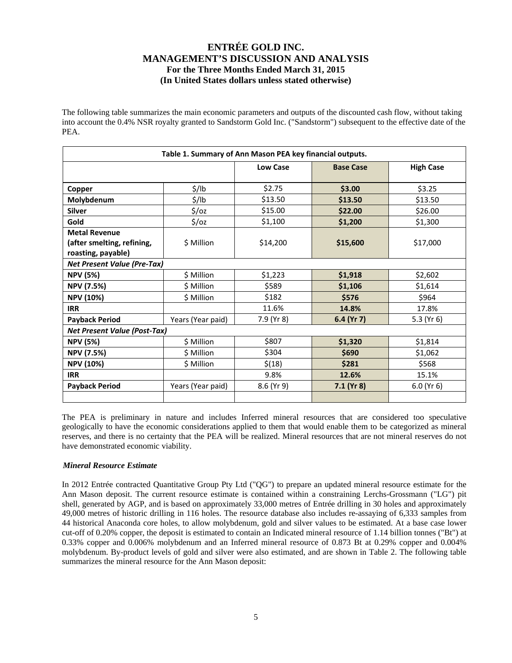The following table summarizes the main economic parameters and outputs of the discounted cash flow, without taking into account the 0.4% NSR royalty granted to Sandstorm Gold Inc. ("Sandstorm") subsequent to the effective date of the PEA.

|                                     |                   | Table 1. Summary of Ann Mason PEA key financial outputs. |                  |                  |
|-------------------------------------|-------------------|----------------------------------------------------------|------------------|------------------|
|                                     |                   | <b>Low Case</b>                                          | <b>Base Case</b> | <b>High Case</b> |
|                                     |                   |                                                          |                  |                  |
| Copper                              | $\frac{1}{2}$ /lb | \$2.75                                                   | \$3.00           | \$3.25           |
| Molybdenum                          | $\frac{1}{2}$ /lb | \$13.50                                                  | \$13.50          | \$13.50          |
| <b>Silver</b>                       | $\frac{2}{3}$ /oz | \$15.00                                                  | \$22.00          | \$26.00          |
| Gold                                | $\frac{2}{3}$ /0Z | \$1,100                                                  | \$1,200          | \$1,300          |
| <b>Metal Revenue</b>                |                   |                                                          |                  |                  |
| (after smelting, refining,          | \$ Million        | \$14,200                                                 | \$15,600         | \$17,000         |
| roasting, payable)                  |                   |                                                          |                  |                  |
| <b>Net Present Value (Pre-Tax)</b>  |                   |                                                          |                  |                  |
| <b>NPV (5%)</b>                     | \$ Million        | \$1,223                                                  | \$1,918          | \$2,602          |
| NPV (7.5%)                          | \$ Million        | \$589                                                    | \$1,106          | \$1,614          |
| <b>NPV (10%)</b>                    | \$ Million        | \$182                                                    | \$576            | \$964            |
| <b>IRR</b>                          |                   | 11.6%                                                    | 14.8%            | 17.8%            |
| <b>Payback Period</b>               | Years (Year paid) | 7.9 (Yr 8)                                               | 6.4 (Yr 7)       | 5.3 ( $Yr$ 6)    |
| <b>Net Present Value (Post-Tax)</b> |                   |                                                          |                  |                  |
| <b>NPV (5%)</b>                     | \$ Million        | \$807                                                    | \$1,320          | \$1,814          |
| <b>NPV (7.5%)</b>                   | \$ Million        | \$304                                                    | \$690            | \$1,062          |
| <b>NPV (10%)</b>                    | \$ Million        | \$(18)                                                   | \$281            | \$568            |
| <b>IRR</b>                          |                   | 9.8%                                                     | 12.6%            | 15.1%            |
| <b>Payback Period</b>               | Years (Year paid) | $8.6$ (Yr 9)                                             | $7.1$ (Yr 8)     | $6.0$ (Yr $6$ )  |
|                                     |                   |                                                          |                  |                  |

The PEA is preliminary in nature and includes Inferred mineral resources that are considered too speculative geologically to have the economic considerations applied to them that would enable them to be categorized as mineral reserves, and there is no certainty that the PEA will be realized. Mineral resources that are not mineral reserves do not have demonstrated economic viability.

### *Mineral Resource Estimate*

In 2012 Entrée contracted Quantitative Group Pty Ltd ("QG") to prepare an updated mineral resource estimate for the Ann Mason deposit. The current resource estimate is contained within a constraining Lerchs-Grossmann ("LG") pit shell, generated by AGP, and is based on approximately 33,000 metres of Entrée drilling in 30 holes and approximately 49,000 metres of historic drilling in 116 holes. The resource database also includes re-assaying of 6,333 samples from 44 historical Anaconda core holes, to allow molybdenum, gold and silver values to be estimated. At a base case lower cut-off of 0.20% copper, the deposit is estimated to contain an Indicated mineral resource of 1.14 billion tonnes ("Bt") at 0.33% copper and 0.006% molybdenum and an Inferred mineral resource of 0.873 Bt at 0.29% copper and 0.004% molybdenum. By-product levels of gold and silver were also estimated, and are shown in Table 2. The following table summarizes the mineral resource for the Ann Mason deposit: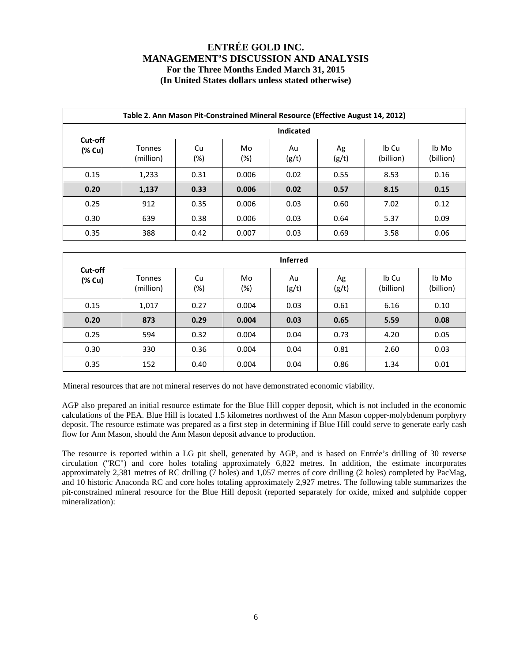|                   | Table 2. Ann Mason Pit-Constrained Mineral Resource (Effective August 14, 2012) |                  |           |             |             |                    |                    |  |  |  |  |  |  |
|-------------------|---------------------------------------------------------------------------------|------------------|-----------|-------------|-------------|--------------------|--------------------|--|--|--|--|--|--|
|                   |                                                                                 | <b>Indicated</b> |           |             |             |                    |                    |  |  |  |  |  |  |
| Cut-off<br>(% Cu) | <b>Tonnes</b><br>(million)                                                      | Cu<br>(%)        | Mo<br>(%) | Au<br>(g/t) | Ag<br>(g/t) | Ib Cu<br>(billion) | lb Mo<br>(billion) |  |  |  |  |  |  |
| 0.15              | 1,233                                                                           | 0.31             | 0.006     | 0.02        | 0.55        | 8.53               | 0.16               |  |  |  |  |  |  |
| 0.20              | 1,137                                                                           | 0.33             | 0.006     | 0.02        | 0.57        | 8.15               | 0.15               |  |  |  |  |  |  |
| 0.25              | 912                                                                             | 0.35             | 0.006     | 0.03        | 0.60        | 7.02               | 0.12               |  |  |  |  |  |  |
| 0.30              | 639                                                                             | 0.38             | 0.006     | 0.03        | 0.64        | 5.37               | 0.09               |  |  |  |  |  |  |
| 0.35              | 388                                                                             | 0.42             | 0.007     | 0.03        | 0.69        | 3.58               | 0.06               |  |  |  |  |  |  |

|                   |                            |              |           | <b>Inferred</b> |             |                    |                    |
|-------------------|----------------------------|--------------|-----------|-----------------|-------------|--------------------|--------------------|
| Cut-off<br>(% Cu) | <b>Tonnes</b><br>(million) | Cu<br>$(\%)$ | Mo<br>(%) | Au<br>(g/t)     | Ag<br>(g/t) | Ib Cu<br>(billion) | lb Mo<br>(billion) |
| 0.15              | 1,017                      | 0.27         | 0.004     | 0.03            | 0.61        | 6.16               | 0.10               |
| 0.20              | 873                        | 0.29         | 0.004     | 0.03            | 0.65        | 5.59               | 0.08               |
| 0.25              | 594                        | 0.32         | 0.004     | 0.04            | 0.73        | 4.20               | 0.05               |
| 0.30              | 330                        | 0.36         | 0.004     | 0.04            | 0.81        | 2.60               | 0.03               |
| 0.35              | 152                        | 0.40         | 0.004     | 0.04            | 0.86        | 1.34               | 0.01               |

Mineral resources that are not mineral reserves do not have demonstrated economic viability.

AGP also prepared an initial resource estimate for the Blue Hill copper deposit, which is not included in the economic calculations of the PEA. Blue Hill is located 1.5 kilometres northwest of the Ann Mason copper-molybdenum porphyry deposit. The resource estimate was prepared as a first step in determining if Blue Hill could serve to generate early cash flow for Ann Mason, should the Ann Mason deposit advance to production.

The resource is reported within a LG pit shell, generated by AGP, and is based on Entrée's drilling of 30 reverse circulation ("RC") and core holes totaling approximately 6,822 metres. In addition, the estimate incorporates approximately 2,381 metres of RC drilling (7 holes) and 1,057 metres of core drilling (2 holes) completed by PacMag, and 10 historic Anaconda RC and core holes totaling approximately 2,927 metres. The following table summarizes the pit-constrained mineral resource for the Blue Hill deposit (reported separately for oxide, mixed and sulphide copper mineralization):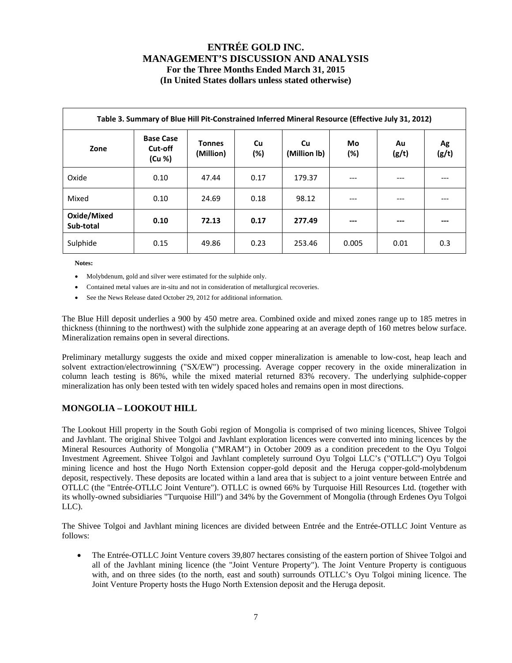| Table 3. Summary of Blue Hill Pit-Constrained Inferred Mineral Resource (Effective July 31, 2012) |                                       |                            |           |                    |              |             |             |  |  |  |
|---------------------------------------------------------------------------------------------------|---------------------------------------|----------------------------|-----------|--------------------|--------------|-------------|-------------|--|--|--|
| Zone                                                                                              | <b>Base Case</b><br>Cut-off<br>(Cu %) | <b>Tonnes</b><br>(Million) | Cu<br>(%) | Cu<br>(Million Ib) | Mo<br>$(\%)$ | Au<br>(g/t) | Ag<br>(g/t) |  |  |  |
| Oxide                                                                                             | 0.10                                  | 47.44                      | 0.17      | 179.37             | ---          | ---         |             |  |  |  |
| Mixed                                                                                             | 0.10                                  | 24.69                      | 0.18      | 98.12              | ---          | ---         |             |  |  |  |
| Oxide/Mixed<br>Sub-total                                                                          | 0.10                                  | 72.13                      | 0.17      | 277.49             | ---          | ---         |             |  |  |  |
| Sulphide                                                                                          | 0.15                                  | 49.86                      | 0.23      | 253.46             | 0.005        | 0.01        | 0.3         |  |  |  |

**Notes:** 

- Molybdenum, gold and silver were estimated for the sulphide only.
- Contained metal values are in-situ and not in consideration of metallurgical recoveries.
- See the News Release dated October 29, 2012 for additional information.

The Blue Hill deposit underlies a 900 by 450 metre area. Combined oxide and mixed zones range up to 185 metres in thickness (thinning to the northwest) with the sulphide zone appearing at an average depth of 160 metres below surface. Mineralization remains open in several directions.

Preliminary metallurgy suggests the oxide and mixed copper mineralization is amenable to low-cost, heap leach and solvent extraction/electrowinning ("SX/EW") processing. Average copper recovery in the oxide mineralization in column leach testing is 86%, while the mixed material returned 83% recovery. The underlying sulphide-copper mineralization has only been tested with ten widely spaced holes and remains open in most directions.

### **MONGOLIA – LOOKOUT HILL**

The Lookout Hill property in the South Gobi region of Mongolia is comprised of two mining licences, Shivee Tolgoi and Javhlant. The original Shivee Tolgoi and Javhlant exploration licences were converted into mining licences by the Mineral Resources Authority of Mongolia ("MRAM") in October 2009 as a condition precedent to the Oyu Tolgoi Investment Agreement. Shivee Tolgoi and Javhlant completely surround Oyu Tolgoi LLC's ("OTLLC") Oyu Tolgoi mining licence and host the Hugo North Extension copper-gold deposit and the Heruga copper-gold-molybdenum deposit, respectively. These deposits are located within a land area that is subject to a joint venture between Entrée and OTLLC (the "Entrée-OTLLC Joint Venture"). OTLLC is owned 66% by Turquoise Hill Resources Ltd. (together with its wholly-owned subsidiaries "Turquoise Hill") and 34% by the Government of Mongolia (through Erdenes Oyu Tolgoi LLC).

The Shivee Tolgoi and Javhlant mining licences are divided between Entrée and the Entrée-OTLLC Joint Venture as follows:

 The Entrée-OTLLC Joint Venture covers 39,807 hectares consisting of the eastern portion of Shivee Tolgoi and all of the Javhlant mining licence (the "Joint Venture Property"). The Joint Venture Property is contiguous with, and on three sides (to the north, east and south) surrounds OTLLC's Oyu Tolgoi mining licence. The Joint Venture Property hosts the Hugo North Extension deposit and the Heruga deposit.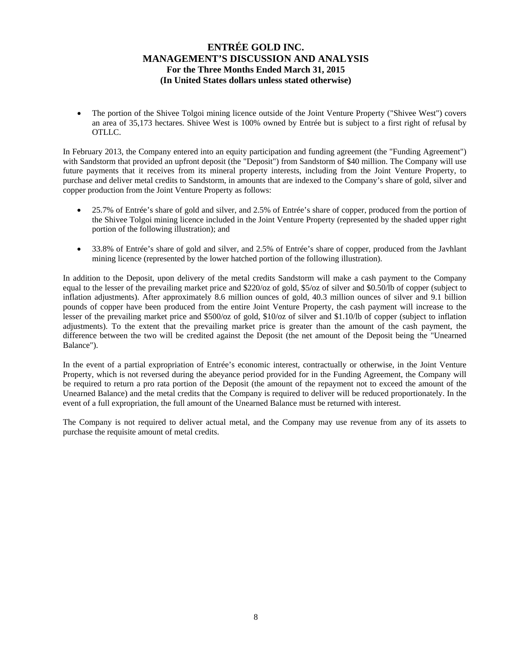The portion of the Shivee Tolgoi mining licence outside of the Joint Venture Property ("Shivee West") covers an area of 35,173 hectares. Shivee West is 100% owned by Entrée but is subject to a first right of refusal by OTLLC.

In February 2013, the Company entered into an equity participation and funding agreement (the "Funding Agreement") with Sandstorm that provided an upfront deposit (the "Deposit") from Sandstorm of \$40 million. The Company will use future payments that it receives from its mineral property interests, including from the Joint Venture Property, to purchase and deliver metal credits to Sandstorm, in amounts that are indexed to the Company's share of gold, silver and copper production from the Joint Venture Property as follows:

- 25.7% of Entrée's share of gold and silver, and 2.5% of Entrée's share of copper, produced from the portion of the Shivee Tolgoi mining licence included in the Joint Venture Property (represented by the shaded upper right portion of the following illustration); and
- 33.8% of Entrée's share of gold and silver, and 2.5% of Entrée's share of copper, produced from the Javhlant mining licence (represented by the lower hatched portion of the following illustration).

In addition to the Deposit, upon delivery of the metal credits Sandstorm will make a cash payment to the Company equal to the lesser of the prevailing market price and \$220/oz of gold, \$5/oz of silver and \$0.50/lb of copper (subject to inflation adjustments). After approximately 8.6 million ounces of gold, 40.3 million ounces of silver and 9.1 billion pounds of copper have been produced from the entire Joint Venture Property, the cash payment will increase to the lesser of the prevailing market price and \$500/oz of gold, \$10/oz of silver and \$1.10/lb of copper (subject to inflation adjustments). To the extent that the prevailing market price is greater than the amount of the cash payment, the difference between the two will be credited against the Deposit (the net amount of the Deposit being the "Unearned Balance").

In the event of a partial expropriation of Entrée's economic interest, contractually or otherwise, in the Joint Venture Property, which is not reversed during the abeyance period provided for in the Funding Agreement, the Company will be required to return a pro rata portion of the Deposit (the amount of the repayment not to exceed the amount of the Unearned Balance) and the metal credits that the Company is required to deliver will be reduced proportionately. In the event of a full expropriation, the full amount of the Unearned Balance must be returned with interest.

The Company is not required to deliver actual metal, and the Company may use revenue from any of its assets to purchase the requisite amount of metal credits.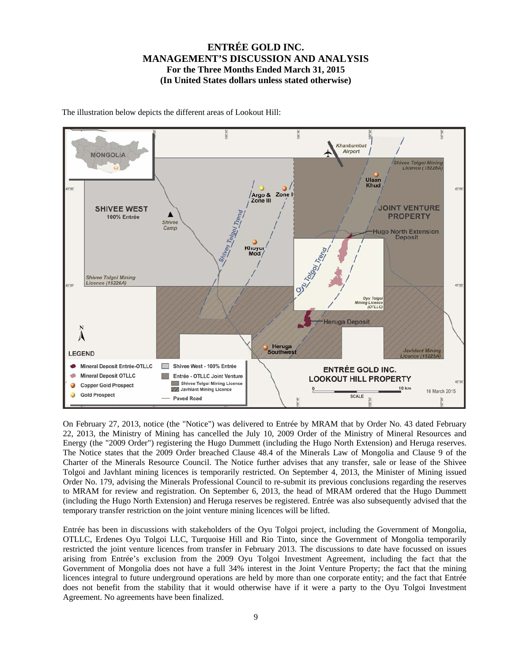

The illustration below depicts the different areas of Lookout Hill:

On February 27, 2013, notice (the "Notice") was delivered to Entrée by MRAM that by Order No. 43 dated February 22, 2013, the Ministry of Mining has cancelled the July 10, 2009 Order of the Ministry of Mineral Resources and Energy (the "2009 Order") registering the Hugo Dummett (including the Hugo North Extension) and Heruga reserves. The Notice states that the 2009 Order breached Clause 48.4 of the Minerals Law of Mongolia and Clause 9 of the Charter of the Minerals Resource Council. The Notice further advises that any transfer, sale or lease of the Shivee Tolgoi and Javhlant mining licences is temporarily restricted. On September 4, 2013, the Minister of Mining issued Order No. 179, advising the Minerals Professional Council to re-submit its previous conclusions regarding the reserves to MRAM for review and registration. On September 6, 2013, the head of MRAM ordered that the Hugo Dummett (including the Hugo North Extension) and Heruga reserves be registered. Entrée was also subsequently advised that the temporary transfer restriction on the joint venture mining licences will be lifted.

Entrée has been in discussions with stakeholders of the Oyu Tolgoi project, including the Government of Mongolia, OTLLC, Erdenes Oyu Tolgoi LLC, Turquoise Hill and Rio Tinto, since the Government of Mongolia temporarily restricted the joint venture licences from transfer in February 2013. The discussions to date have focussed on issues arising from Entrée's exclusion from the 2009 Oyu Tolgoi Investment Agreement, including the fact that the Government of Mongolia does not have a full 34% interest in the Joint Venture Property; the fact that the mining licences integral to future underground operations are held by more than one corporate entity; and the fact that Entrée does not benefit from the stability that it would otherwise have if it were a party to the Oyu Tolgoi Investment Agreement. No agreements have been finalized.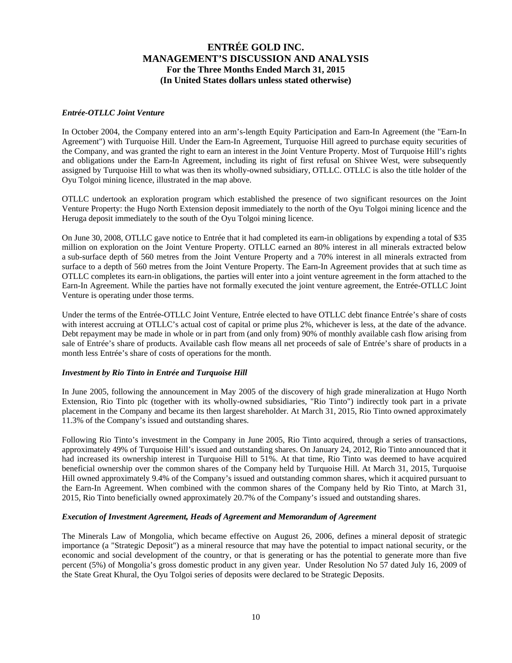### *Entrée-OTLLC Joint Venture*

In October 2004, the Company entered into an arm's-length Equity Participation and Earn-In Agreement (the "Earn-In Agreement") with Turquoise Hill. Under the Earn-In Agreement, Turquoise Hill agreed to purchase equity securities of the Company, and was granted the right to earn an interest in the Joint Venture Property. Most of Turquoise Hill's rights and obligations under the Earn-In Agreement, including its right of first refusal on Shivee West, were subsequently assigned by Turquoise Hill to what was then its wholly-owned subsidiary, OTLLC. OTLLC is also the title holder of the Oyu Tolgoi mining licence, illustrated in the map above.

OTLLC undertook an exploration program which established the presence of two significant resources on the Joint Venture Property: the Hugo North Extension deposit immediately to the north of the Oyu Tolgoi mining licence and the Heruga deposit immediately to the south of the Oyu Tolgoi mining licence.

On June 30, 2008, OTLLC gave notice to Entrée that it had completed its earn-in obligations by expending a total of \$35 million on exploration on the Joint Venture Property. OTLLC earned an 80% interest in all minerals extracted below a sub-surface depth of 560 metres from the Joint Venture Property and a 70% interest in all minerals extracted from surface to a depth of 560 metres from the Joint Venture Property. The Earn-In Agreement provides that at such time as OTLLC completes its earn-in obligations, the parties will enter into a joint venture agreement in the form attached to the Earn-In Agreement. While the parties have not formally executed the joint venture agreement, the Entrée-OTLLC Joint Venture is operating under those terms.

Under the terms of the Entrée-OTLLC Joint Venture, Entrée elected to have OTLLC debt finance Entrée's share of costs with interest accruing at OTLLC's actual cost of capital or prime plus 2%, whichever is less, at the date of the advance. Debt repayment may be made in whole or in part from (and only from) 90% of monthly available cash flow arising from sale of Entrée's share of products. Available cash flow means all net proceeds of sale of Entrée's share of products in a month less Entrée's share of costs of operations for the month.

### *Investment by Rio Tinto in Entrée and Turquoise Hill*

In June 2005, following the announcement in May 2005 of the discovery of high grade mineralization at Hugo North Extension, Rio Tinto plc (together with its wholly-owned subsidiaries, "Rio Tinto") indirectly took part in a private placement in the Company and became its then largest shareholder. At March 31, 2015, Rio Tinto owned approximately 11.3% of the Company's issued and outstanding shares.

Following Rio Tinto's investment in the Company in June 2005, Rio Tinto acquired, through a series of transactions, approximately 49% of Turquoise Hill's issued and outstanding shares. On January 24, 2012, Rio Tinto announced that it had increased its ownership interest in Turquoise Hill to 51%. At that time, Rio Tinto was deemed to have acquired beneficial ownership over the common shares of the Company held by Turquoise Hill. At March 31, 2015, Turquoise Hill owned approximately 9.4% of the Company's issued and outstanding common shares, which it acquired pursuant to the Earn-In Agreement. When combined with the common shares of the Company held by Rio Tinto, at March 31, 2015, Rio Tinto beneficially owned approximately 20.7% of the Company's issued and outstanding shares.

#### *Execution of Investment Agreement, Heads of Agreement and Memorandum of Agreement*

The Minerals Law of Mongolia, which became effective on August 26, 2006, defines a mineral deposit of strategic importance (a "Strategic Deposit") as a mineral resource that may have the potential to impact national security, or the economic and social development of the country, or that is generating or has the potential to generate more than five percent (5%) of Mongolia's gross domestic product in any given year. Under Resolution No 57 dated July 16, 2009 of the State Great Khural, the Oyu Tolgoi series of deposits were declared to be Strategic Deposits.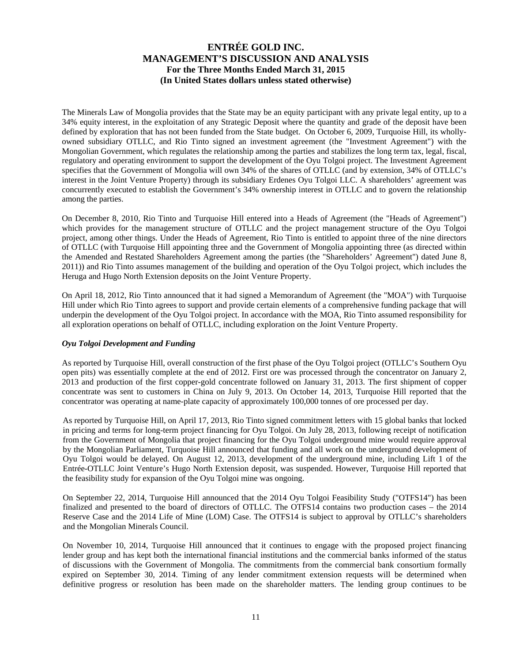The Minerals Law of Mongolia provides that the State may be an equity participant with any private legal entity, up to a 34% equity interest, in the exploitation of any Strategic Deposit where the quantity and grade of the deposit have been defined by exploration that has not been funded from the State budget. On October 6, 2009, Turquoise Hill, its whollyowned subsidiary OTLLC, and Rio Tinto signed an investment agreement (the "Investment Agreement") with the Mongolian Government, which regulates the relationship among the parties and stabilizes the long term tax, legal, fiscal, regulatory and operating environment to support the development of the Oyu Tolgoi project. The Investment Agreement specifies that the Government of Mongolia will own 34% of the shares of OTLLC (and by extension, 34% of OTLLC's interest in the Joint Venture Property) through its subsidiary Erdenes Oyu Tolgoi LLC. A shareholders' agreement was concurrently executed to establish the Government's 34% ownership interest in OTLLC and to govern the relationship among the parties.

On December 8, 2010, Rio Tinto and Turquoise Hill entered into a Heads of Agreement (the "Heads of Agreement") which provides for the management structure of OTLLC and the project management structure of the Oyu Tolgoi project, among other things. Under the Heads of Agreement, Rio Tinto is entitled to appoint three of the nine directors of OTLLC (with Turquoise Hill appointing three and the Government of Mongolia appointing three (as directed within the Amended and Restated Shareholders Agreement among the parties (the "Shareholders' Agreement") dated June 8, 2011)) and Rio Tinto assumes management of the building and operation of the Oyu Tolgoi project, which includes the Heruga and Hugo North Extension deposits on the Joint Venture Property.

On April 18, 2012, Rio Tinto announced that it had signed a Memorandum of Agreement (the "MOA") with Turquoise Hill under which Rio Tinto agrees to support and provide certain elements of a comprehensive funding package that will underpin the development of the Oyu Tolgoi project. In accordance with the MOA, Rio Tinto assumed responsibility for all exploration operations on behalf of OTLLC, including exploration on the Joint Venture Property.

### *Oyu Tolgoi Development and Funding*

As reported by Turquoise Hill, overall construction of the first phase of the Oyu Tolgoi project (OTLLC's Southern Oyu open pits) was essentially complete at the end of 2012. First ore was processed through the concentrator on January 2, 2013 and production of the first copper-gold concentrate followed on January 31, 2013. The first shipment of copper concentrate was sent to customers in China on July 9, 2013. On October 14, 2013, Turquoise Hill reported that the concentrator was operating at name-plate capacity of approximately 100,000 tonnes of ore processed per day.

As reported by Turquoise Hill, on April 17, 2013, Rio Tinto signed commitment letters with 15 global banks that locked in pricing and terms for long-term project financing for Oyu Tolgoi. On July 28, 2013, following receipt of notification from the Government of Mongolia that project financing for the Oyu Tolgoi underground mine would require approval by the Mongolian Parliament, Turquoise Hill announced that funding and all work on the underground development of Oyu Tolgoi would be delayed. On August 12, 2013, development of the underground mine, including Lift 1 of the Entrée-OTLLC Joint Venture's Hugo North Extension deposit, was suspended. However, Turquoise Hill reported that the feasibility study for expansion of the Oyu Tolgoi mine was ongoing.

On September 22, 2014, Turquoise Hill announced that the 2014 Oyu Tolgoi Feasibility Study ("OTFS14") has been finalized and presented to the board of directors of OTLLC. The OTFS14 contains two production cases – the 2014 Reserve Case and the 2014 Life of Mine (LOM) Case. The OTFS14 is subject to approval by OTLLC's shareholders and the Mongolian Minerals Council.

On November 10, 2014, Turquoise Hill announced that it continues to engage with the proposed project financing lender group and has kept both the international financial institutions and the commercial banks informed of the status of discussions with the Government of Mongolia. The commitments from the commercial bank consortium formally expired on September 30, 2014. Timing of any lender commitment extension requests will be determined when definitive progress or resolution has been made on the shareholder matters. The lending group continues to be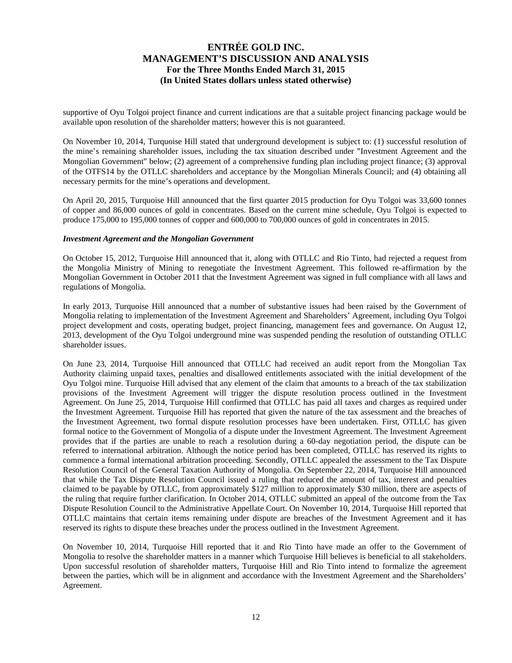supportive of Oyu Tolgoi project finance and current indications are that a suitable project financing package would be available upon resolution of the shareholder matters; however this is not guaranteed.

On November 10, 2014, Turquoise Hill stated that underground development is subject to: (1) successful resolution of the mine's remaining shareholder issues, including the tax situation described under "Investment Agreement and the Mongolian Government" below; (2) agreement of a comprehensive funding plan including project finance; (3) approval of the OTFS14 by the OTLLC shareholders and acceptance by the Mongolian Minerals Council; and (4) obtaining all necessary permits for the mine's operations and development.

On April 20, 2015, Turquoise Hill announced that the first quarter 2015 production for Oyu Tolgoi was 33,600 tonnes of copper and 86,000 ounces of gold in concentrates. Based on the current mine schedule, Oyu Tolgoi is expected to produce 175,000 to 195,000 tonnes of copper and 600,000 to 700,000 ounces of gold in concentrates in 2015.

#### *Investment Agreement and the Mongolian Government*

On October 15, 2012, Turquoise Hill announced that it, along with OTLLC and Rio Tinto, had rejected a request from the Mongolia Ministry of Mining to renegotiate the Investment Agreement. This followed re-affirmation by the Mongolian Government in October 2011 that the Investment Agreement was signed in full compliance with all laws and regulations of Mongolia.

In early 2013, Turquoise Hill announced that a number of substantive issues had been raised by the Government of Mongolia relating to implementation of the Investment Agreement and Shareholders' Agreement, including Oyu Tolgoi project development and costs, operating budget, project financing, management fees and governance. On August 12, 2013, development of the Oyu Tolgoi underground mine was suspended pending the resolution of outstanding OTLLC shareholder issues.

On June 23, 2014, Turquoise Hill announced that OTLLC had received an audit report from the Mongolian Tax Authority claiming unpaid taxes, penalties and disallowed entitlements associated with the initial development of the Oyu Tolgoi mine. Turquoise Hill advised that any element of the claim that amounts to a breach of the tax stabilization provisions of the Investment Agreement will trigger the dispute resolution process outlined in the Investment Agreement. On June 25, 2014, Turquoise Hill confirmed that OTLLC has paid all taxes and charges as required under the Investment Agreement. Turquoise Hill has reported that given the nature of the tax assessment and the breaches of the Investment Agreement, two formal dispute resolution processes have been undertaken. First, OTLLC has given formal notice to the Government of Mongolia of a dispute under the Investment Agreement. The Investment Agreement provides that if the parties are unable to reach a resolution during a 60-day negotiation period, the dispute can be referred to international arbitration. Although the notice period has been completed, OTLLC has reserved its rights to commence a formal international arbitration proceeding. Secondly, OTLLC appealed the assessment to the Tax Dispute Resolution Council of the General Taxation Authority of Mongolia. On September 22, 2014, Turquoise Hill announced that while the Tax Dispute Resolution Council issued a ruling that reduced the amount of tax, interest and penalties claimed to be payable by OTLLC, from approximately \$127 million to approximately \$30 million, there are aspects of the ruling that require further clarification. In October 2014, OTLLC submitted an appeal of the outcome from the Tax Dispute Resolution Council to the Administrative Appellate Court. On November 10, 2014, Turquoise Hill reported that OTLLC maintains that certain items remaining under dispute are breaches of the Investment Agreement and it has reserved its rights to dispute these breaches under the process outlined in the Investment Agreement.

On November 10, 2014, Turquoise Hill reported that it and Rio Tinto have made an offer to the Government of Mongolia to resolve the shareholder matters in a manner which Turquoise Hill believes is beneficial to all stakeholders. Upon successful resolution of shareholder matters, Turquoise Hill and Rio Tinto intend to formalize the agreement between the parties, which will be in alignment and accordance with the Investment Agreement and the Shareholders' Agreement.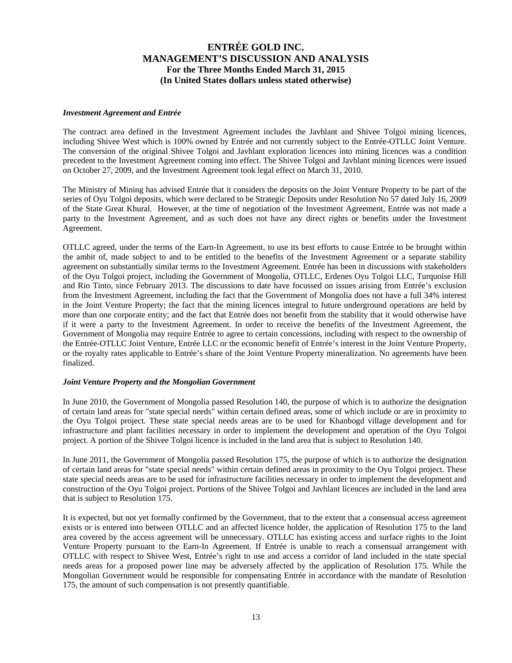#### *Investment Agreement and Entrée*

The contract area defined in the Investment Agreement includes the Javhlant and Shivee Tolgoi mining licences, including Shivee West which is 100% owned by Entrée and not currently subject to the Entrée-OTLLC Joint Venture. The conversion of the original Shivee Tolgoi and Javhlant exploration licences into mining licences was a condition precedent to the Investment Agreement coming into effect. The Shivee Tolgoi and Javhlant mining licences were issued on October 27, 2009, and the Investment Agreement took legal effect on March 31, 2010.

The Ministry of Mining has advised Entrée that it considers the deposits on the Joint Venture Property to be part of the series of Oyu Tolgoi deposits, which were declared to be Strategic Deposits under Resolution No 57 dated July 16, 2009 of the State Great Khural. However, at the time of negotiation of the Investment Agreement, Entrée was not made a party to the Investment Agreement, and as such does not have any direct rights or benefits under the Investment Agreement.

OTLLC agreed, under the terms of the Earn-In Agreement, to use its best efforts to cause Entrée to be brought within the ambit of, made subject to and to be entitled to the benefits of the Investment Agreement or a separate stability agreement on substantially similar terms to the Investment Agreement. Entrée has been in discussions with stakeholders of the Oyu Tolgoi project, including the Government of Mongolia, OTLLC, Erdenes Oyu Tolgoi LLC, Turquoise Hill and Rio Tinto, since February 2013. The discussions to date have focussed on issues arising from Entrée's exclusion from the Investment Agreement, including the fact that the Government of Mongolia does not have a full 34% interest in the Joint Venture Property; the fact that the mining licences integral to future underground operations are held by more than one corporate entity; and the fact that Entrée does not benefit from the stability that it would otherwise have if it were a party to the Investment Agreement. In order to receive the benefits of the Investment Agreement, the Government of Mongolia may require Entrée to agree to certain concessions, including with respect to the ownership of the Entrée-OTLLC Joint Venture, Entrée LLC or the economic benefit of Entrée's interest in the Joint Venture Property, or the royalty rates applicable to Entrée's share of the Joint Venture Property mineralization. No agreements have been finalized.

#### *Joint Venture Property and the Mongolian Government*

In June 2010, the Government of Mongolia passed Resolution 140, the purpose of which is to authorize the designation of certain land areas for "state special needs" within certain defined areas, some of which include or are in proximity to the Oyu Tolgoi project. These state special needs areas are to be used for Khanbogd village development and for infrastructure and plant facilities necessary in order to implement the development and operation of the Oyu Tolgoi project. A portion of the Shivee Tolgoi licence is included in the land area that is subject to Resolution 140.

In June 2011, the Government of Mongolia passed Resolution 175, the purpose of which is to authorize the designation of certain land areas for "state special needs" within certain defined areas in proximity to the Oyu Tolgoi project. These state special needs areas are to be used for infrastructure facilities necessary in order to implement the development and construction of the Oyu Tolgoi project. Portions of the Shivee Tolgoi and Javhlant licences are included in the land area that is subject to Resolution 175.

It is expected, but not yet formally confirmed by the Government, that to the extent that a consensual access agreement exists or is entered into between OTLLC and an affected licence holder, the application of Resolution 175 to the land area covered by the access agreement will be unnecessary. OTLLC has existing access and surface rights to the Joint Venture Property pursuant to the Earn-In Agreement. If Entrée is unable to reach a consensual arrangement with OTLLC with respect to Shivee West, Entrée's right to use and access a corridor of land included in the state special needs areas for a proposed power line may be adversely affected by the application of Resolution 175. While the Mongolian Government would be responsible for compensating Entrée in accordance with the mandate of Resolution 175, the amount of such compensation is not presently quantifiable.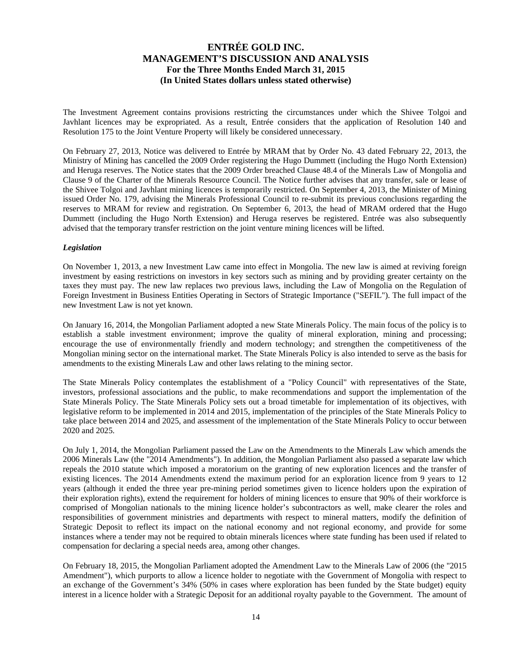The Investment Agreement contains provisions restricting the circumstances under which the Shivee Tolgoi and Javhlant licences may be expropriated. As a result, Entrée considers that the application of Resolution 140 and Resolution 175 to the Joint Venture Property will likely be considered unnecessary.

On February 27, 2013, Notice was delivered to Entrée by MRAM that by Order No. 43 dated February 22, 2013, the Ministry of Mining has cancelled the 2009 Order registering the Hugo Dummett (including the Hugo North Extension) and Heruga reserves. The Notice states that the 2009 Order breached Clause 48.4 of the Minerals Law of Mongolia and Clause 9 of the Charter of the Minerals Resource Council. The Notice further advises that any transfer, sale or lease of the Shivee Tolgoi and Javhlant mining licences is temporarily restricted. On September 4, 2013, the Minister of Mining issued Order No. 179, advising the Minerals Professional Council to re-submit its previous conclusions regarding the reserves to MRAM for review and registration. On September 6, 2013, the head of MRAM ordered that the Hugo Dummett (including the Hugo North Extension) and Heruga reserves be registered. Entrée was also subsequently advised that the temporary transfer restriction on the joint venture mining licences will be lifted.

### *Legislation*

On November 1, 2013, a new Investment Law came into effect in Mongolia. The new law is aimed at reviving foreign investment by easing restrictions on investors in key sectors such as mining and by providing greater certainty on the taxes they must pay. The new law replaces two previous laws, including the Law of Mongolia on the Regulation of Foreign Investment in Business Entities Operating in Sectors of Strategic Importance ("SEFIL"). The full impact of the new Investment Law is not yet known.

On January 16, 2014, the Mongolian Parliament adopted a new State Minerals Policy. The main focus of the policy is to establish a stable investment environment; improve the quality of mineral exploration, mining and processing; encourage the use of environmentally friendly and modern technology; and strengthen the competitiveness of the Mongolian mining sector on the international market. The State Minerals Policy is also intended to serve as the basis for amendments to the existing Minerals Law and other laws relating to the mining sector.

The State Minerals Policy contemplates the establishment of a "Policy Council" with representatives of the State, investors, professional associations and the public, to make recommendations and support the implementation of the State Minerals Policy. The State Minerals Policy sets out a broad timetable for implementation of its objectives, with legislative reform to be implemented in 2014 and 2015, implementation of the principles of the State Minerals Policy to take place between 2014 and 2025, and assessment of the implementation of the State Minerals Policy to occur between 2020 and 2025.

On July 1, 2014, the Mongolian Parliament passed the Law on the Amendments to the Minerals Law which amends the 2006 Minerals Law (the "2014 Amendments"). In addition, the Mongolian Parliament also passed a separate law which repeals the 2010 statute which imposed a moratorium on the granting of new exploration licences and the transfer of existing licences. The 2014 Amendments extend the maximum period for an exploration licence from 9 years to 12 years (although it ended the three year pre-mining period sometimes given to licence holders upon the expiration of their exploration rights), extend the requirement for holders of mining licences to ensure that 90% of their workforce is comprised of Mongolian nationals to the mining licence holder's subcontractors as well, make clearer the roles and responsibilities of government ministries and departments with respect to mineral matters, modify the definition of Strategic Deposit to reflect its impact on the national economy and not regional economy, and provide for some instances where a tender may not be required to obtain minerals licences where state funding has been used if related to compensation for declaring a special needs area, among other changes.

On February 18, 2015, the Mongolian Parliament adopted the Amendment Law to the Minerals Law of 2006 (the "2015 Amendment"), which purports to allow a licence holder to negotiate with the Government of Mongolia with respect to an exchange of the Government's 34% (50% in cases where exploration has been funded by the State budget) equity interest in a licence holder with a Strategic Deposit for an additional royalty payable to the Government. The amount of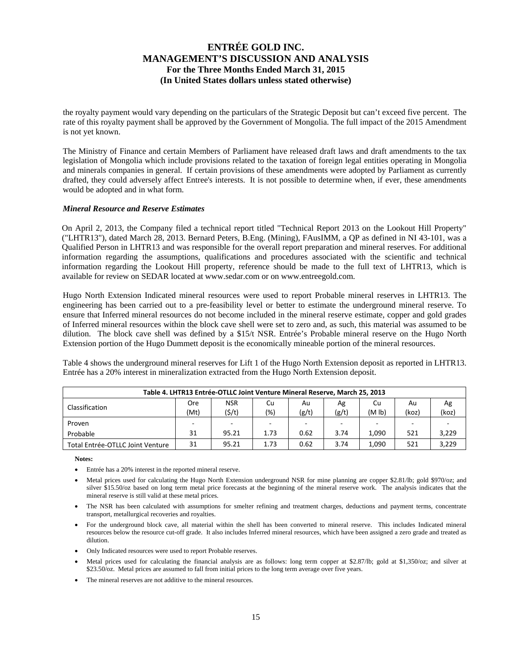the royalty payment would vary depending on the particulars of the Strategic Deposit but can't exceed five percent. The rate of this royalty payment shall be approved by the Government of Mongolia. The full impact of the 2015 Amendment is not yet known.

The Ministry of Finance and certain Members of Parliament have released draft laws and draft amendments to the tax legislation of Mongolia which include provisions related to the taxation of foreign legal entities operating in Mongolia and minerals companies in general. If certain provisions of these amendments were adopted by Parliament as currently drafted, they could adversely affect Entree's interests. It is not possible to determine when, if ever, these amendments would be adopted and in what form.

### *Mineral Resource and Reserve Estimates*

On April 2, 2013, the Company filed a technical report titled "Technical Report 2013 on the Lookout Hill Property" ("LHTR13"), dated March 28, 2013. Bernard Peters, B.Eng. (Mining), FAusIMM, a QP as defined in NI 43-101, was a Qualified Person in LHTR13 and was responsible for the overall report preparation and mineral reserves. For additional information regarding the assumptions, qualifications and procedures associated with the scientific and technical information regarding the Lookout Hill property, reference should be made to the full text of LHTR13, which is available for review on SEDAR located at www.sedar.com or on www.entreegold.com.

Hugo North Extension Indicated mineral resources were used to report Probable mineral reserves in LHTR13. The engineering has been carried out to a pre-feasibility level or better to estimate the underground mineral reserve. To ensure that Inferred mineral resources do not become included in the mineral reserve estimate, copper and gold grades of Inferred mineral resources within the block cave shell were set to zero and, as such, this material was assumed to be dilution. The block cave shell was defined by a \$15/t NSR. Entrée's Probable mineral reserve on the Hugo North Extension portion of the Hugo Dummett deposit is the economically mineable portion of the mineral resources.

Table 4 shows the underground mineral reserves for Lift 1 of the Hugo North Extension deposit as reported in LHTR13. Entrée has a 20% interest in mineralization extracted from the Hugo North Extension deposit.

| Table 4. LHTR13 Entrée-OTLLC Joint Venture Mineral Reserve, March 25, 2013 |      |            |         |       |            |                    |       |       |  |  |
|----------------------------------------------------------------------------|------|------------|---------|-------|------------|--------------------|-------|-------|--|--|
| Classification                                                             | Ore  | <b>NSR</b> | Cu      | Au    | Ag         | Cu                 | Au    | Ag    |  |  |
|                                                                            | (Mt) | (5/t)      | $(\% )$ | (g/t) | (g/t)      | (M <sub>lb</sub> ) | (koz) | (koz) |  |  |
| Proven                                                                     |      | -          | $\sim$  |       | <u>. .</u> |                    |       |       |  |  |
| Probable                                                                   | 31   | 95.21      | 1.73    | 0.62  | 3.74       | 1.090              | 521   | 3,229 |  |  |
| Total Entrée-OTLLC Joint Venture                                           | 31   | 95.21      | 1.73    | 0.62  | 3.74       | 1.090              | 521   | 3.229 |  |  |

**Notes:** 

- Entrée has a 20% interest in the reported mineral reserve.
- Metal prices used for calculating the Hugo North Extension underground NSR for mine planning are copper \$2.81/lb; gold \$970/oz; and silver \$15.50/oz based on long term metal price forecasts at the beginning of the mineral reserve work. The analysis indicates that the mineral reserve is still valid at these metal prices.
- The NSR has been calculated with assumptions for smelter refining and treatment charges, deductions and payment terms, concentrate transport, metallurgical recoveries and royalties.
- For the underground block cave, all material within the shell has been converted to mineral reserve. This includes Indicated mineral resources below the resource cut-off grade. It also includes Inferred mineral resources, which have been assigned a zero grade and treated as dilution.
- Only Indicated resources were used to report Probable reserves.
- Metal prices used for calculating the financial analysis are as follows: long term copper at \$2.87/lb; gold at \$1,350/oz; and silver at \$23.50/oz. Metal prices are assumed to fall from initial prices to the long term average over five years.
- The mineral reserves are not additive to the mineral resources.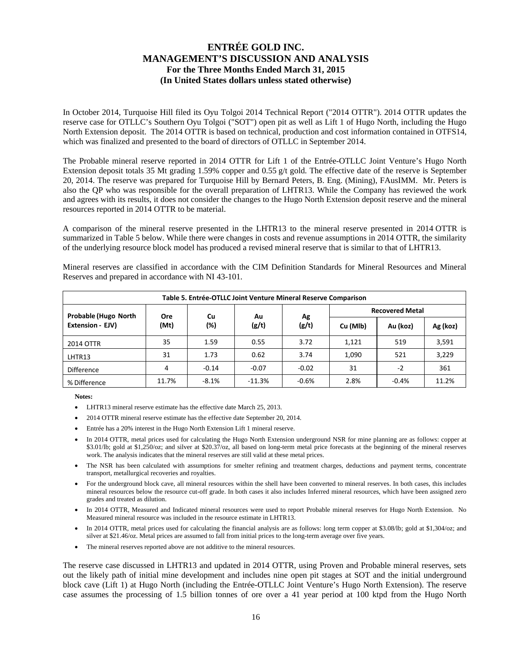In October 2014, Turquoise Hill filed its Oyu Tolgoi 2014 Technical Report ("2014 OTTR"). 2014 OTTR updates the reserve case for OTLLC's Southern Oyu Tolgoi ("SOT") open pit as well as Lift 1 of Hugo North, including the Hugo North Extension deposit. The 2014 OTTR is based on technical, production and cost information contained in OTFS14, which was finalized and presented to the board of directors of OTLLC in September 2014.

The Probable mineral reserve reported in 2014 OTTR for Lift 1 of the Entrée-OTLLC Joint Venture's Hugo North Extension deposit totals 35 Mt grading 1.59% copper and 0.55 g/t gold. The effective date of the reserve is September 20, 2014. The reserve was prepared for Turquoise Hill by Bernard Peters, B. Eng. (Mining), FAusIMM. Mr. Peters is also the QP who was responsible for the overall preparation of LHTR13. While the Company has reviewed the work and agrees with its results, it does not consider the changes to the Hugo North Extension deposit reserve and the mineral resources reported in 2014 OTTR to be material.

A comparison of the mineral reserve presented in the LHTR13 to the mineral reserve presented in 2014 OTTR is summarized in Table 5 below. While there were changes in costs and revenue assumptions in 2014 OTTR, the similarity of the underlying resource block model has produced a revised mineral reserve that is similar to that of LHTR13.

Mineral reserves are classified in accordance with the CIM Definition Standards for Mineral Resources and Mineral Reserves and prepared in accordance with NI 43-101.

| Table 5. Entrée-OTLLC Joint Venture Mineral Reserve Comparison |            |         |          |         |          |                        |          |  |  |  |
|----------------------------------------------------------------|------------|---------|----------|---------|----------|------------------------|----------|--|--|--|
| <b>Probable (Hugo North</b>                                    | <b>Ore</b> | Cu      | Au       | Ag      |          | <b>Recovered Metal</b> |          |  |  |  |
| Extension - EJV)                                               | (Mt)       | (%)     | (g/t)    | (g/t)   | Cu (MIb) | Au (koz)               | Ag (koz) |  |  |  |
| 2014 OTTR                                                      | 35         | 1.59    | 0.55     | 3.72    | 1,121    | 519                    | 3,591    |  |  |  |
| LHTR13                                                         | 31         | 1.73    | 0.62     | 3.74    | 1,090    | 521                    | 3,229    |  |  |  |
| <b>Difference</b>                                              | 4          | $-0.14$ | $-0.07$  | $-0.02$ | 31       | $-2$                   | 361      |  |  |  |
| % Difference                                                   | 11.7%      | $-8.1%$ | $-11.3%$ | $-0.6%$ | 2.8%     | $-0.4%$                | 11.2%    |  |  |  |

**Notes:** 

- LHTR13 mineral reserve estimate has the effective date March 25, 2013.
- 2014 OTTR mineral reserve estimate has the effective date September 20, 2014.
- Entrée has a 20% interest in the Hugo North Extension Lift 1 mineral reserve.
- In 2014 OTTR, metal prices used for calculating the Hugo North Extension underground NSR for mine planning are as follows: copper at \$3.01/lb; gold at \$1,250/oz; and silver at \$20.37/oz, all based on long-term metal price forecasts at the beginning of the mineral reserves work. The analysis indicates that the mineral reserves are still valid at these metal prices.
- The NSR has been calculated with assumptions for smelter refining and treatment charges, deductions and payment terms, concentrate transport, metallurgical recoveries and royalties.
- For the underground block cave, all mineral resources within the shell have been converted to mineral reserves. In both cases, this includes mineral resources below the resource cut-off grade. In both cases it also includes Inferred mineral resources, which have been assigned zero grades and treated as dilution.
- In 2014 OTTR, Measured and Indicated mineral resources were used to report Probable mineral reserves for Hugo North Extension. No Measured mineral resource was included in the resource estimate in LHTR13.
- In 2014 OTTR, metal prices used for calculating the financial analysis are as follows: long term copper at \$3.08/lb; gold at \$1,304/oz; and silver at \$21.46/oz. Metal prices are assumed to fall from initial prices to the long-term average over five years.
- The mineral reserves reported above are not additive to the mineral resources.

The reserve case discussed in LHTR13 and updated in 2014 OTTR, using Proven and Probable mineral reserves, sets out the likely path of initial mine development and includes nine open pit stages at SOT and the initial underground block cave (Lift 1) at Hugo North (including the Entrée-OTLLC Joint Venture's Hugo North Extension). The reserve case assumes the processing of 1.5 billion tonnes of ore over a 41 year period at 100 ktpd from the Hugo North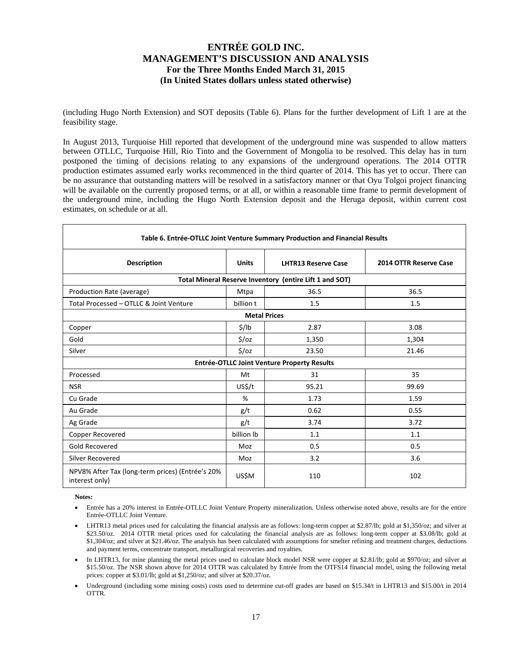(including Hugo North Extension) and SOT deposits (Table 6). Plans for the further development of Lift 1 are at the feasibility stage.

In August 2013, Turquoise Hill reported that development of the underground mine was suspended to allow matters between OTLLC, Turquoise Hill, Rio Tinto and the Government of Mongolia to be resolved. This delay has in turn postponed the timing of decisions relating to any expansions of the underground operations. The 2014 OTTR production estimates assumed early works recommenced in the third quarter of 2014. This has yet to occur. There can be no assurance that outstanding matters will be resolved in a satisfactory manner or that Oyu Tolgoi project financing will be available on the currently proposed terms, or at all, or within a reasonable time frame to permit development of the underground mine, including the Hugo North Extension deposit and the Heruga deposit, within current cost estimates, on schedule or at all.

| Table 6. Entrée-OTLLC Joint Venture Summary Production and Financial Results |                   |                                                         |                        |  |  |  |  |  |  |  |
|------------------------------------------------------------------------------|-------------------|---------------------------------------------------------|------------------------|--|--|--|--|--|--|--|
| <b>Description</b>                                                           | <b>Units</b>      | <b>LHTR13 Reserve Case</b>                              | 2014 OTTR Reserve Case |  |  |  |  |  |  |  |
|                                                                              |                   | Total Mineral Reserve Inventory (entire Lift 1 and SOT) |                        |  |  |  |  |  |  |  |
| Production Rate (average)                                                    | Mtpa              | 36.5                                                    | 36.5                   |  |  |  |  |  |  |  |
| Total Processed - OTLLC & Joint Venture                                      | billion t         | 1.5                                                     | 1.5                    |  |  |  |  |  |  |  |
| <b>Metal Prices</b>                                                          |                   |                                                         |                        |  |  |  |  |  |  |  |
| Copper                                                                       | \$/lb             | 2.87                                                    | 3.08                   |  |  |  |  |  |  |  |
| Gold                                                                         | $\frac{2}{3}$ /0z | 1,350                                                   | 1,304                  |  |  |  |  |  |  |  |
| Silver                                                                       | $\frac{1}{2}$ /0Z | 23.50                                                   | 21.46                  |  |  |  |  |  |  |  |
|                                                                              |                   | Entrée-OTLLC Joint Venture Property Results             |                        |  |  |  |  |  |  |  |
| Processed                                                                    | Mt                | 31                                                      | 35                     |  |  |  |  |  |  |  |
| <b>NSR</b>                                                                   | US\$/t            | 95.21                                                   | 99.69                  |  |  |  |  |  |  |  |
| Cu Grade                                                                     | %                 | 1.73                                                    | 1.59                   |  |  |  |  |  |  |  |
| Au Grade                                                                     | g/t               | 0.62                                                    | 0.55                   |  |  |  |  |  |  |  |
| Ag Grade                                                                     | g/t               | 3.74                                                    | 3.72                   |  |  |  |  |  |  |  |
| Copper Recovered                                                             | billion lb        | 1.1                                                     | 1.1                    |  |  |  |  |  |  |  |
| Gold Recovered                                                               | Moz               | 0.5                                                     | 0.5                    |  |  |  |  |  |  |  |
| Silver Recovered                                                             | Moz               | 3.2                                                     | 3.6                    |  |  |  |  |  |  |  |
| NPV8% After Tax (long-term prices) (Entrée's 20%<br>interest only)           | US\$M             | 110                                                     | 102                    |  |  |  |  |  |  |  |

**Notes:** 

- Entrée has a 20% interest in Entrée-OTLLC Joint Venture Property mineralization. Unless otherwise noted above, results are for the entire Entrée-OTLLC Joint Venture.
- LHTR13 metal prices used for calculating the financial analysis are as follows: long-term copper at \$2.87/lb; gold at \$1,350/oz; and silver at \$23.50/oz. 2014 OTTR metal prices used for calculating the financial analysis are as follows: long-term copper at \$3.08/lb; gold at \$1,304/oz; and silver at \$21.46/oz. The analysis has been calculated with assumptions for smelter refining and treatment charges, deductions and payment terms, concentrate transport, metallurgical recoveries and royalties.
- In LHTR13, for mine planning the metal prices used to calculate block model NSR were copper at \$2.81/lb; gold at \$970/oz; and silver at \$15.50/oz. The NSR shown above for 2014 OTTR was calculated by Entrée from the OTFS14 financial model, using the following metal prices: copper at \$3.01/lb; gold at \$1,250/oz; and silver at \$20.37/oz.
- Underground (including some mining costs) costs used to determine cut-off grades are based on \$15.34/t in LHTR13 and \$15.00/t in 2014 OTTR.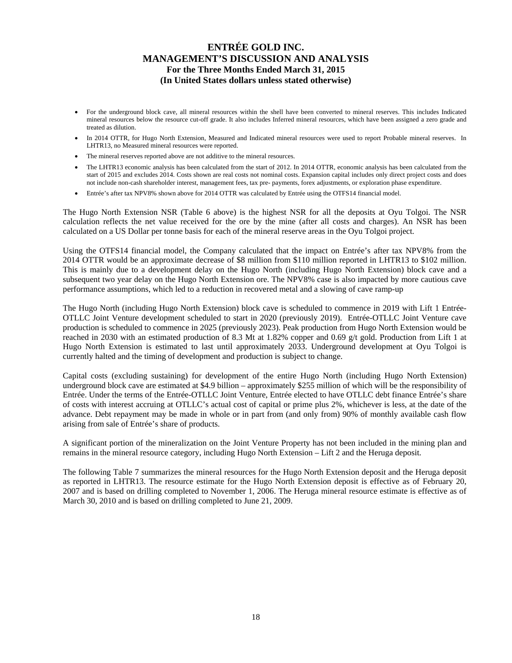- For the underground block cave, all mineral resources within the shell have been converted to mineral reserves. This includes Indicated mineral resources below the resource cut-off grade. It also includes Inferred mineral resources, which have been assigned a zero grade and treated as dilution.
- In 2014 OTTR, for Hugo North Extension, Measured and Indicated mineral resources were used to report Probable mineral reserves. In LHTR13, no Measured mineral resources were reported.
- The mineral reserves reported above are not additive to the mineral resources.
- The LHTR13 economic analysis has been calculated from the start of 2012. In 2014 OTTR, economic analysis has been calculated from the start of 2015 and excludes 2014. Costs shown are real costs not nominal costs. Expansion capital includes only direct project costs and does not include non-cash shareholder interest, management fees, tax pre- payments, forex adjustments, or exploration phase expenditure.
- Entrée's after tax NPV8% shown above for 2014 OTTR was calculated by Entrée using the OTFS14 financial model.

The Hugo North Extension NSR (Table 6 above) is the highest NSR for all the deposits at Oyu Tolgoi. The NSR calculation reflects the net value received for the ore by the mine (after all costs and charges). An NSR has been calculated on a US Dollar per tonne basis for each of the mineral reserve areas in the Oyu Tolgoi project.

Using the OTFS14 financial model, the Company calculated that the impact on Entrée's after tax NPV8% from the 2014 OTTR would be an approximate decrease of \$8 million from \$110 million reported in LHTR13 to \$102 million. This is mainly due to a development delay on the Hugo North (including Hugo North Extension) block cave and a subsequent two year delay on the Hugo North Extension ore. The NPV8% case is also impacted by more cautious cave performance assumptions, which led to a reduction in recovered metal and a slowing of cave ramp-up

The Hugo North (including Hugo North Extension) block cave is scheduled to commence in 2019 with Lift 1 Entrée-OTLLC Joint Venture development scheduled to start in 2020 (previously 2019). Entrée-OTLLC Joint Venture cave production is scheduled to commence in 2025 (previously 2023). Peak production from Hugo North Extension would be reached in 2030 with an estimated production of 8.3 Mt at 1.82% copper and 0.69 g/t gold. Production from Lift 1 at Hugo North Extension is estimated to last until approximately 2033. Underground development at Oyu Tolgoi is currently halted and the timing of development and production is subject to change.

Capital costs (excluding sustaining) for development of the entire Hugo North (including Hugo North Extension) underground block cave are estimated at \$4.9 billion – approximately \$255 million of which will be the responsibility of Entrée. Under the terms of the Entrée-OTLLC Joint Venture, Entrée elected to have OTLLC debt finance Entrée's share of costs with interest accruing at OTLLC's actual cost of capital or prime plus 2%, whichever is less, at the date of the advance. Debt repayment may be made in whole or in part from (and only from) 90% of monthly available cash flow arising from sale of Entrée's share of products.

A significant portion of the mineralization on the Joint Venture Property has not been included in the mining plan and remains in the mineral resource category, including Hugo North Extension – Lift 2 and the Heruga deposit.

The following Table 7 summarizes the mineral resources for the Hugo North Extension deposit and the Heruga deposit as reported in LHTR13. The resource estimate for the Hugo North Extension deposit is effective as of February 20, 2007 and is based on drilling completed to November 1, 2006. The Heruga mineral resource estimate is effective as of March 30, 2010 and is based on drilling completed to June 21, 2009.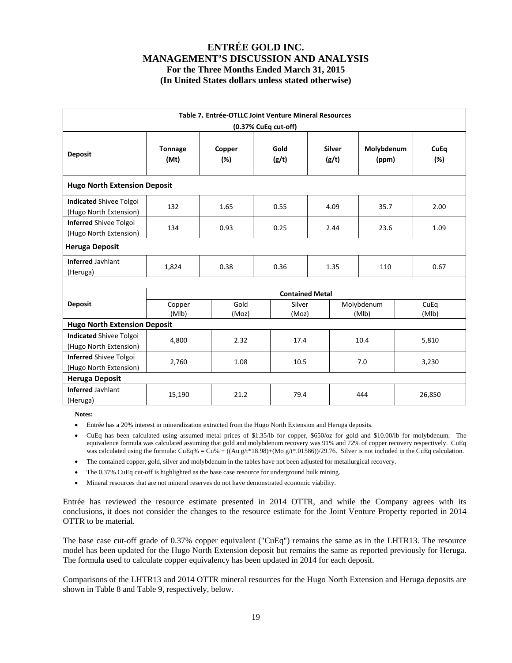|                                                          | Table 7. Entrée-OTLLC Joint Venture Mineral Resources |                                      |                        |                        |  |                     |  |               |  |  |  |
|----------------------------------------------------------|-------------------------------------------------------|--------------------------------------|------------------------|------------------------|--|---------------------|--|---------------|--|--|--|
|                                                          |                                                       |                                      | (0.37% CuEq cut-off)   |                        |  |                     |  |               |  |  |  |
| <b>Deposit</b>                                           | <b>Tonnage</b><br>(Mt)                                | Copper<br>(%)                        | Gold<br>(g/t)          | <b>Silver</b><br>(g/t) |  | Molybdenum<br>(ppm) |  | CuEq<br>(%)   |  |  |  |
| <b>Hugo North Extension Deposit</b>                      |                                                       |                                      |                        |                        |  |                     |  |               |  |  |  |
| <b>Indicated Shivee Tolgoi</b><br>(Hugo North Extension) | 132                                                   | 1.65                                 | 0.55                   | 4.09                   |  | 35.7                |  | 2.00          |  |  |  |
| <b>Inferred Shivee Tolgoi</b><br>(Hugo North Extension)  | 134                                                   | 0.93<br>0.25<br>2.44<br>23.6<br>1.09 |                        |                        |  |                     |  |               |  |  |  |
| <b>Heruga Deposit</b>                                    |                                                       |                                      |                        |                        |  |                     |  |               |  |  |  |
| <b>Inferred Jayhlant</b><br>(Heruga)                     | 1,824                                                 | 0.38                                 | 0.36                   | 1.35                   |  | 110                 |  | 0.67          |  |  |  |
|                                                          |                                                       |                                      |                        |                        |  |                     |  |               |  |  |  |
|                                                          |                                                       |                                      | <b>Contained Metal</b> |                        |  |                     |  |               |  |  |  |
| <b>Deposit</b>                                           | Copper<br>(MIb)                                       | Gold<br>(Moz)                        | Silver<br>(Moz)        |                        |  | Molybdenum<br>(MIb) |  | CuEq<br>(MIb) |  |  |  |
| <b>Hugo North Extension Deposit</b>                      |                                                       |                                      |                        |                        |  |                     |  |               |  |  |  |
| <b>Indicated Shivee Tolgoi</b><br>(Hugo North Extension) | 4,800                                                 | 2.32                                 | 17.4                   |                        |  | 10.4                |  | 5,810         |  |  |  |
| <b>Inferred Shivee Tolgoi</b><br>(Hugo North Extension)  | 2,760                                                 | 1.08                                 |                        | 10.5                   |  | 7.0                 |  | 3,230         |  |  |  |
| <b>Heruga Deposit</b>                                    |                                                       |                                      |                        |                        |  |                     |  |               |  |  |  |
| <b>Inferred Javhlant</b><br>(Heruga)                     | 15,190                                                | 21.2                                 | 79.4                   |                        |  | 444                 |  | 26,850        |  |  |  |

**Notes:** 

Entrée has a 20% interest in mineralization extracted from the Hugo North Extension and Heruga deposits.

- CuEq has been calculated using assumed metal prices of \$1.35/lb for copper, \$650/oz for gold and \$10.00/lb for molybdenum. The equivalence formula was calculated assuming that gold and molybdenum recovery was 91% and 72% of copper recovery respectively. CuEq was calculated using the formula:  $CuEq\% = Cu\% + ((Au g/t*18.98)+(Mo g/t*.01586))/29.76$ . Silver is not included in the CuEq calculation.
- The contained copper, gold, silver and molybdenum in the tables have not been adjusted for metallurgical recovery.
- The 0.37% CuEq cut-off is highlighted as the base case resource for underground bulk mining.
- Mineral resources that are not mineral reserves do not have demonstrated economic viability.

Entrée has reviewed the resource estimate presented in 2014 OTTR, and while the Company agrees with its conclusions, it does not consider the changes to the resource estimate for the Joint Venture Property reported in 2014 OTTR to be material.

The base case cut-off grade of 0.37% copper equivalent ("CuEq") remains the same as in the LHTR13. The resource model has been updated for the Hugo North Extension deposit but remains the same as reported previously for Heruga. The formula used to calculate copper equivalency has been updated in 2014 for each deposit.

Comparisons of the LHTR13 and 2014 OTTR mineral resources for the Hugo North Extension and Heruga deposits are shown in Table 8 and Table 9, respectively, below.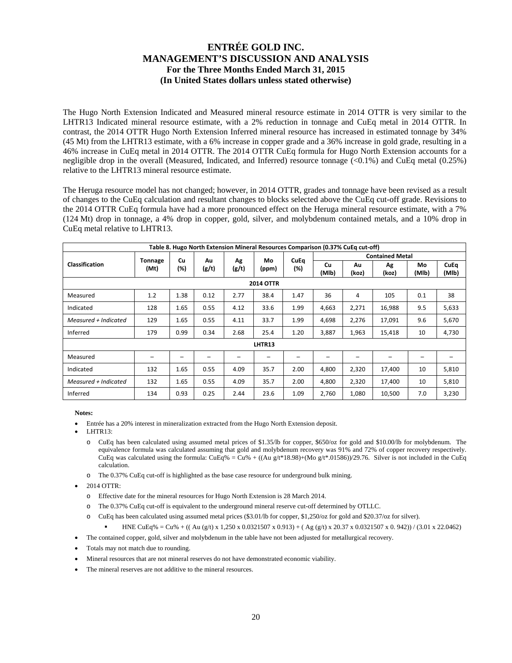The Hugo North Extension Indicated and Measured mineral resource estimate in 2014 OTTR is very similar to the LHTR13 Indicated mineral resource estimate, with a 2% reduction in tonnage and CuEq metal in 2014 OTTR. In contrast, the 2014 OTTR Hugo North Extension Inferred mineral resource has increased in estimated tonnage by 34% (45 Mt) from the LHTR13 estimate, with a 6% increase in copper grade and a 36% increase in gold grade, resulting in a 46% increase in CuEq metal in 2014 OTTR. The 2014 OTTR CuEq formula for Hugo North Extension accounts for a negligible drop in the overall (Measured, Indicated, and Inferred) resource tonnage  $(<0.1\%)$  and CuEq metal  $(0.25\%)$ relative to the LHTR13 mineral resource estimate.

The Heruga resource model has not changed; however, in 2014 OTTR, grades and tonnage have been revised as a result of changes to the CuEq calculation and resultant changes to blocks selected above the CuEq cut-off grade. Revisions to the 2014 OTTR CuEq formula have had a more pronounced effect on the Heruga mineral resource estimate, with a 7% (124 Mt) drop in tonnage, a 4% drop in copper, gold, silver, and molybdenum contained metals, and a 10% drop in CuEq metal relative to LHTR13.

|                       |                |                                |      |             |             |             | Table 8. Hugo North Extension Mineral Resources Comparison (0.37% CuEq cut-off) |                      |        |     |       |
|-----------------------|----------------|--------------------------------|------|-------------|-------------|-------------|---------------------------------------------------------------------------------|----------------------|--------|-----|-------|
|                       | <b>Tonnage</b> | Cu                             | Au   | Ag          | Mo          | <b>CuEq</b> | <b>Contained Metal</b>                                                          |                      |        |     |       |
| <b>Classification</b> | (Mt)           | (%)<br>(g/t)<br>(g/t)<br>(ppm) | (%)  | Cu<br>(MIb) | Au<br>(koz) | Ag<br>(koz) | Mo<br>(Mlb)                                                                     | <b>CuEq</b><br>(MIb) |        |     |       |
| <b>2014 OTTR</b>      |                |                                |      |             |             |             |                                                                                 |                      |        |     |       |
| Measured              | 1.2            | 1.38                           | 0.12 | 2.77        | 38.4        | 1.47        | 36                                                                              | 4                    | 105    | 0.1 | 38    |
| Indicated             | 128            | 1.65                           | 0.55 | 4.12        | 33.6        | 1.99        | 4,663                                                                           | 2,271                | 16,988 | 9.5 | 5,633 |
| Measured + Indicated  | 129            | 1.65                           | 0.55 | 4.11        | 33.7        | 1.99        | 4,698                                                                           | 2,276                | 17,091 | 9.6 | 5,670 |
| Inferred              | 179            | 0.99                           | 0.34 | 2.68        | 25.4        | 1.20        | 3,887                                                                           | 1,963                | 15,418 | 10  | 4,730 |
|                       |                |                                |      |             | LHTR13      |             |                                                                                 |                      |        |     |       |
| Measured              | -              | -                              |      | -           |             |             |                                                                                 |                      |        | -   |       |
| Indicated             | 132            | 1.65                           | 0.55 | 4.09        | 35.7        | 2.00        | 4,800                                                                           | 2,320                | 17,400 | 10  | 5,810 |
| Measured + Indicated  | 132            | 1.65                           | 0.55 | 4.09        | 35.7        | 2.00        | 4,800                                                                           | 2,320                | 17,400 | 10  | 5,810 |
| Inferred              | 134            | 0.93                           | 0.25 | 2.44        | 23.6        | 1.09        | 2,760                                                                           | 1,080                | 10,500 | 7.0 | 3,230 |

**Notes:** 

- Entrée has a 20% interest in mineralization extracted from the Hugo North Extension deposit.
- LHTR13:
	- o CuEq has been calculated using assumed metal prices of \$1.35/lb for copper, \$650/oz for gold and \$10.00/lb for molybdenum. The equivalence formula was calculated assuming that gold and molybdenum recovery was 91% and 72% of copper recovery respectively. CuEq was calculated using the formula:  $CuEq\% = Cu\% + ((Au g/t*18.98)+(Mo g/t*.01586))/29.76$ . Silver is not included in the CuEq calculation.
	- o The 0.37% CuEq cut-off is highlighted as the base case resource for underground bulk mining.
- 2014 OTTR:
	- o Effective date for the mineral resources for Hugo North Extension is 28 March 2014.
	- o The 0.37% CuEq cut-off is equivalent to the underground mineral reserve cut-off determined by OTLLC.
	- o CuEq has been calculated using assumed metal prices (\$3.01/lb for copper, \$1,250/oz for gold and \$20.37/oz for silver).
		- HNE CuEq% = Cu% + ((Au (g/t) x 1,250 x 0.0321507 x 0.913) + (Ag (g/t) x 20.37 x 0.0321507 x 0.942)) / (3.01 x 22.0462)
- The contained copper, gold, silver and molybdenum in the table have not been adjusted for metallurgical recovery.
- Totals may not match due to rounding.
- Mineral resources that are not mineral reserves do not have demonstrated economic viability.
- The mineral reserves are not additive to the mineral resources.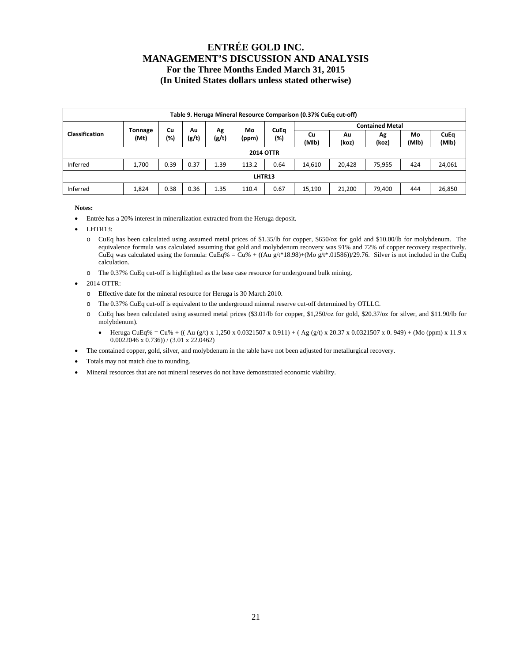| Table 9. Heruga Mineral Resource Comparison (0.37% CuEq cut-off) |                  |      |       |             |       |                    |             |             |                        |             |                      |
|------------------------------------------------------------------|------------------|------|-------|-------------|-------|--------------------|-------------|-------------|------------------------|-------------|----------------------|
| Mo<br>Cu<br>Au                                                   |                  |      |       |             |       |                    |             |             | <b>Contained Metal</b> |             |                      |
| <b>Classification</b>                                            | Tonnage<br>(Mt)  | (%)  | (g/t) | Αg<br>(g/t) | (ppm) | <b>CuEq</b><br>(%) | Cu<br>(MIb) | Λu<br>(koz) | Ag<br>(koz)            | Mo<br>(MIb) | <b>CuEq</b><br>(MIb) |
|                                                                  | <b>2014 OTTR</b> |      |       |             |       |                    |             |             |                        |             |                      |
| Inferred                                                         | 1,700            | 0.39 | 0.37  | 1.39        | 113.2 | 0.64               | 14,610      | 20,428      | 75,955                 | 424         | 24,061               |
| LHTR13                                                           |                  |      |       |             |       |                    |             |             |                        |             |                      |
| Inferred                                                         | 1,824            | 0.38 | 0.36  | 1.35        | 110.4 | 0.67               | 15,190      | 21,200      | 79,400                 | 444         | 26,850               |

**Notes:** 

- Entrée has a 20% interest in mineralization extracted from the Heruga deposit.
- LHTR13:
	- o CuEq has been calculated using assumed metal prices of \$1.35/lb for copper, \$650/oz for gold and \$10.00/lb for molybdenum. The equivalence formula was calculated assuming that gold and molybdenum recovery was 91% and 72% of copper recovery respectively. CuEq was calculated using the formula: CuEq% = Cu% + ((Au g/t\*18.98)+(Mo g/t\*.01586))/29.76. Silver is not included in the CuEq calculation.
	- o The 0.37% CuEq cut-off is highlighted as the base case resource for underground bulk mining.

2014 OTTR:

- o Effective date for the mineral resource for Heruga is 30 March 2010.
- o The 0.37% CuEq cut-off is equivalent to the underground mineral reserve cut-off determined by OTLLC.
- o CuEq has been calculated using assumed metal prices (\$3.01/lb for copper, \$1,250/oz for gold, \$20.37/oz for silver, and \$11.90/lb for molybdenum).
	- $\bullet$  Heruga CuEq% = Cu% + ((Au (g/t) x 1,250 x 0.0321507 x 0.911) + (Ag (g/t) x 20.37 x 0.0321507 x 0.949) + (Mo (ppm) x 11.9 x 0.0022046 x 0.736)) / (3.01 x 22.0462)
- The contained copper, gold, silver, and molybdenum in the table have not been adjusted for metallurgical recovery.
- Totals may not match due to rounding.
- Mineral resources that are not mineral reserves do not have demonstrated economic viability.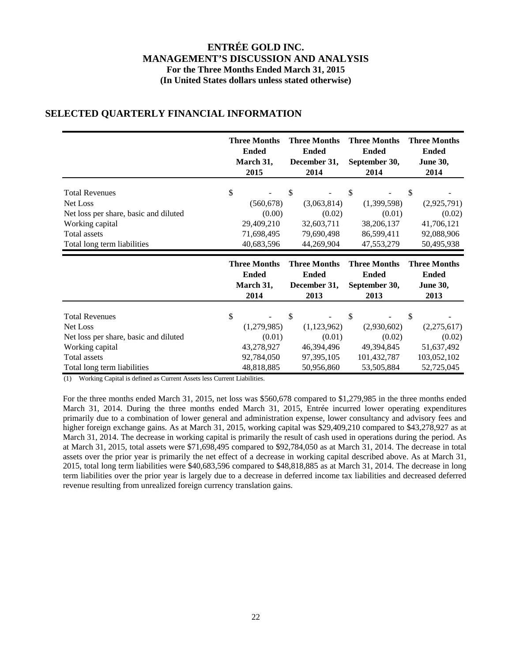|                                                                                                               | <b>Three Months</b>                       | <b>Three Months</b>                       | <b>Three Months</b>                       | <b>Three Months</b>                       |
|---------------------------------------------------------------------------------------------------------------|-------------------------------------------|-------------------------------------------|-------------------------------------------|-------------------------------------------|
|                                                                                                               | <b>Ended</b>                              | <b>Ended</b>                              | <b>Ended</b>                              | <b>Ended</b>                              |
|                                                                                                               | March 31,                                 | December 31,                              | September 30,                             | <b>June 30,</b>                           |
|                                                                                                               | 2015                                      | 2014                                      | 2014                                      | 2014                                      |
| <b>Total Revenues</b>                                                                                         | \$                                        | \$                                        | \$                                        | \$                                        |
| Net Loss                                                                                                      | (560, 678)                                | (3,063,814)                               | (1,399,598)                               | (2,925,791)                               |
| Net loss per share, basic and diluted                                                                         | (0.00)                                    | (0.02)                                    | (0.01)                                    | (0.02)                                    |
| Working capital                                                                                               | 29,409,210                                | 32,603,711                                | 38,206,137                                | 41,706,121                                |
| <b>Total assets</b>                                                                                           | 71,698,495                                | 79,690,498                                | 86,599,411                                | 92,088,906                                |
| Total long term liabilities                                                                                   | 40,683,596                                | 44,269,904                                | 47,553,279                                | 50,495,938                                |
|                                                                                                               | <b>Three Months</b>                       | <b>Three Months</b>                       | <b>Three Months</b>                       | <b>Three Months</b>                       |
|                                                                                                               | <b>Ended</b>                              | <b>Ended</b>                              | <b>Ended</b>                              | <b>Ended</b>                              |
|                                                                                                               | March 31,                                 | December 31,                              | September 30,                             | <b>June 30,</b>                           |
|                                                                                                               | 2014                                      | 2013                                      | 2013                                      | 2013                                      |
| <b>Total Revenues</b><br>Net Loss<br>Net loss per share, basic and diluted<br>Working capital<br>Total assets | \$<br>(1,279,985)<br>(0.01)<br>43,278,927 | \$<br>(1,123,962)<br>(0.01)<br>46,394,496 | \$<br>(2,930,602)<br>(0.02)<br>49,394,845 | \$<br>(2,275,617)<br>(0.02)<br>51,637,492 |

# **SELECTED QUARTERLY FINANCIAL INFORMATION**

(1) Working Capital is defined as Current Assets less Current Liabilities.

For the three months ended March 31, 2015, net loss was \$560,678 compared to \$1,279,985 in the three months ended March 31, 2014. During the three months ended March 31, 2015, Entrée incurred lower operating expenditures primarily due to a combination of lower general and administration expense, lower consultancy and advisory fees and higher foreign exchange gains. As at March 31, 2015, working capital was \$29,409,210 compared to \$43,278,927 as at March 31, 2014. The decrease in working capital is primarily the result of cash used in operations during the period. As at March 31, 2015, total assets were \$71,698,495 compared to \$92,784,050 as at March 31, 2014. The decrease in total assets over the prior year is primarily the net effect of a decrease in working capital described above. As at March 31, 2015, total long term liabilities were \$40,683,596 compared to \$48,818,885 as at March 31, 2014. The decrease in long term liabilities over the prior year is largely due to a decrease in deferred income tax liabilities and decreased deferred revenue resulting from unrealized foreign currency translation gains.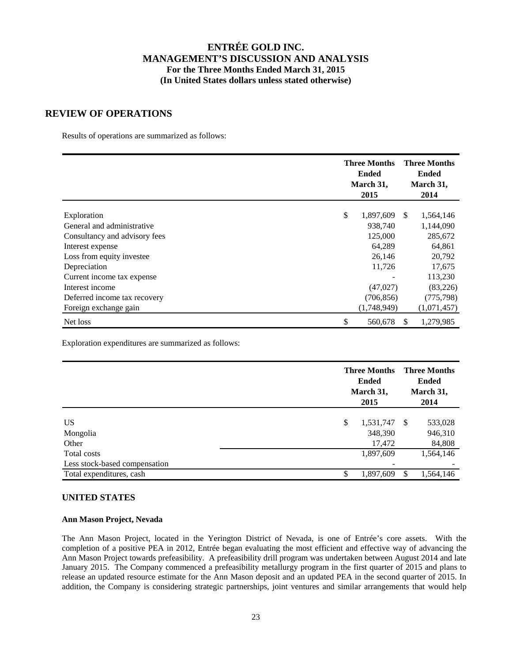### **REVIEW OF OPERATIONS**

Results of operations are summarized as follows:

|                               | <b>Three Months</b><br><b>Ended</b><br>March 31,<br>2015 |               | <b>Three Months</b><br><b>Ended</b><br>March 31,<br>2014 |
|-------------------------------|----------------------------------------------------------|---------------|----------------------------------------------------------|
| Exploration                   | \$<br>1,897,609                                          | <sup>\$</sup> | 1,564,146                                                |
| General and administrative    | 938,740                                                  |               | 1,144,090                                                |
| Consultancy and advisory fees | 125,000                                                  |               | 285,672                                                  |
| Interest expense              | 64,289                                                   |               | 64,861                                                   |
| Loss from equity investee     | 26,146                                                   |               | 20,792                                                   |
| Depreciation                  | 11,726                                                   |               | 17,675                                                   |
| Current income tax expense    |                                                          |               | 113,230                                                  |
| Interest income               | (47,027)                                                 |               | (83,226)                                                 |
| Deferred income tax recovery  | (706, 856)                                               |               | (775, 798)                                               |
| Foreign exchange gain         | (1,748,949)                                              |               | (1,071,457)                                              |
| Net loss                      | \$<br>560,678                                            | \$.           | 1,279,985                                                |

Exploration expenditures are summarized as follows:

|                                              | <b>Three Months</b><br><b>Ended</b><br>March 31,<br>2015 | <b>Three Months</b><br><b>Ended</b><br>March 31,<br>2014 |  |  |
|----------------------------------------------|----------------------------------------------------------|----------------------------------------------------------|--|--|
| US <sup>-</sup><br>Mongolia<br>Other         | \$<br>1,531,747<br>348,390<br>17,472                     | -\$<br>533,028<br>946,310<br>84,808                      |  |  |
| Total costs<br>Less stock-based compensation | 1,897,609                                                | 1,564,146                                                |  |  |
| Total expenditures, cash                     | 1,897,609<br>c                                           | 1,564,146<br>\$.                                         |  |  |

### **UNITED STATES**

### **Ann Mason Project, Nevada**

The Ann Mason Project, located in the Yerington District of Nevada, is one of Entrée's core assets. With the completion of a positive PEA in 2012, Entrée began evaluating the most efficient and effective way of advancing the Ann Mason Project towards prefeasibility. A prefeasibility drill program was undertaken between August 2014 and late January 2015. The Company commenced a prefeasibility metallurgy program in the first quarter of 2015 and plans to release an updated resource estimate for the Ann Mason deposit and an updated PEA in the second quarter of 2015. In addition, the Company is considering strategic partnerships, joint ventures and similar arrangements that would help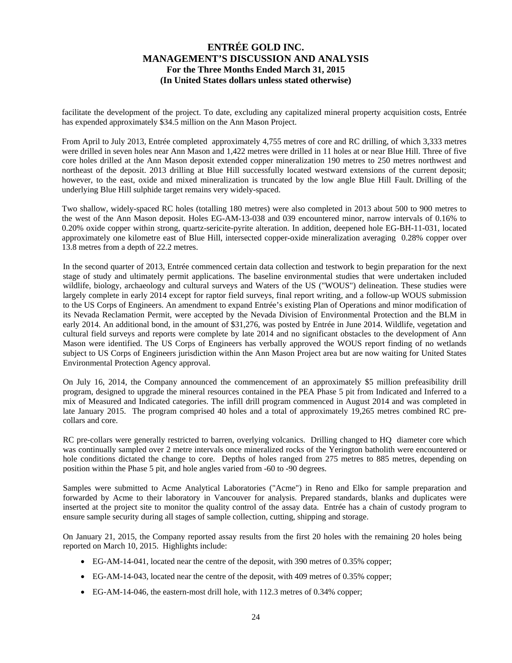facilitate the development of the project. To date, excluding any capitalized mineral property acquisition costs, Entrée has expended approximately \$34.5 million on the Ann Mason Project.

From April to July 2013, Entrée completed approximately 4,755 metres of core and RC drilling, of which 3,333 metres were drilled in seven holes near Ann Mason and 1,422 metres were drilled in 11 holes at or near Blue Hill. Three of five core holes drilled at the Ann Mason deposit extended copper mineralization 190 metres to 250 metres northwest and northeast of the deposit. 2013 drilling at Blue Hill successfully located westward extensions of the current deposit; however, to the east, oxide and mixed mineralization is truncated by the low angle Blue Hill Fault. Drilling of the underlying Blue Hill sulphide target remains very widely-spaced.

Two shallow, widely-spaced RC holes (totalling 180 metres) were also completed in 2013 about 500 to 900 metres to the west of the Ann Mason deposit. Holes EG-AM-13-038 and 039 encountered minor, narrow intervals of 0.16% to 0.20% oxide copper within strong, quartz-sericite-pyrite alteration. In addition, deepened hole EG-BH-11-031, located approximately one kilometre east of Blue Hill, intersected copper-oxide mineralization averaging 0.28% copper over 13.8 metres from a depth of 22.2 metres.

In the second quarter of 2013, Entrée commenced certain data collection and testwork to begin preparation for the next stage of study and ultimately permit applications. The baseline environmental studies that were undertaken included wildlife, biology, archaeology and cultural surveys and Waters of the US ("WOUS") delineation. These studies were largely complete in early 2014 except for raptor field surveys, final report writing, and a follow-up WOUS submission to the US Corps of Engineers. An amendment to expand Entrée's existing Plan of Operations and minor modification of its Nevada Reclamation Permit, were accepted by the Nevada Division of Environmental Protection and the BLM in early 2014. An additional bond, in the amount of \$31,276, was posted by Entrée in June 2014. Wildlife, vegetation and cultural field surveys and reports were complete by late 2014 and no significant obstacles to the development of Ann Mason were identified. The US Corps of Engineers has verbally approved the WOUS report finding of no wetlands subject to US Corps of Engineers jurisdiction within the Ann Mason Project area but are now waiting for United States Environmental Protection Agency approval.

On July 16, 2014, the Company announced the commencement of an approximately \$5 million prefeasibility drill program, designed to upgrade the mineral resources contained in the PEA Phase 5 pit from Indicated and Inferred to a mix of Measured and Indicated categories. The infill drill program commenced in August 2014 and was completed in late January 2015. The program comprised 40 holes and a total of approximately 19,265 metres combined RC precollars and core.

RC pre-collars were generally restricted to barren, overlying volcanics. Drilling changed to HQ diameter core which was continually sampled over 2 metre intervals once mineralized rocks of the Yerington batholith were encountered or hole conditions dictated the change to core. Depths of holes ranged from 275 metres to 885 metres, depending on position within the Phase 5 pit, and hole angles varied from -60 to -90 degrees.

Samples were submitted to Acme Analytical Laboratories ("Acme") in Reno and Elko for sample preparation and forwarded by Acme to their laboratory in Vancouver for analysis. Prepared standards, blanks and duplicates were inserted at the project site to monitor the quality control of the assay data. Entrée has a chain of custody program to ensure sample security during all stages of sample collection, cutting, shipping and storage.

On January 21, 2015, the Company reported assay results from the first 20 holes with the remaining 20 holes being reported on March 10, 2015. Highlights include:

- EG-AM-14-041, located near the centre of the deposit, with 390 metres of 0.35% copper;
- EG-AM-14-043, located near the centre of the deposit, with 409 metres of 0.35% copper;
- EG-AM-14-046, the eastern-most drill hole, with 112.3 metres of 0.34% copper;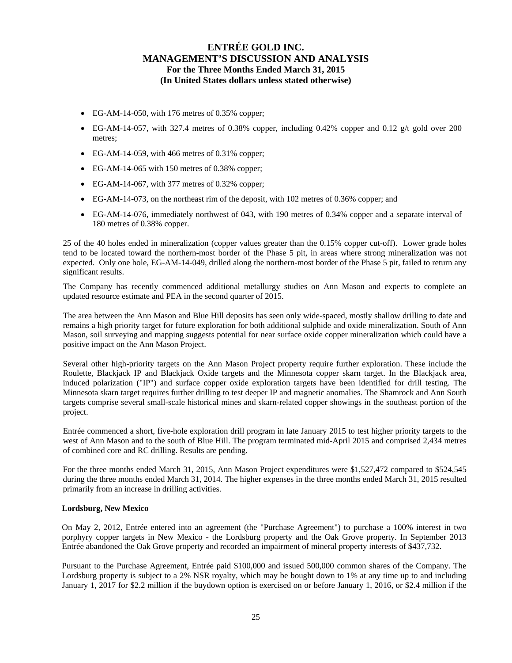- EG-AM-14-050, with 176 metres of 0.35% copper;
- $\bullet$  EG-AM-14-057, with 327.4 metres of 0.38% copper, including 0.42% copper and 0.12 g/t gold over 200 metres;
- EG-AM-14-059, with 466 metres of 0.31% copper;
- EG-AM-14-065 with 150 metres of 0.38% copper;
- EG-AM-14-067, with 377 metres of 0.32% copper;
- EG-AM-14-073, on the northeast rim of the deposit, with 102 metres of 0.36% copper; and
- EG-AM-14-076, immediately northwest of 043, with 190 metres of 0.34% copper and a separate interval of 180 metres of 0.38% copper.

25 of the 40 holes ended in mineralization (copper values greater than the 0.15% copper cut-off). Lower grade holes tend to be located toward the northern-most border of the Phase 5 pit, in areas where strong mineralization was not expected. Only one hole, EG-AM-14-049, drilled along the northern-most border of the Phase 5 pit, failed to return any significant results.

The Company has recently commenced additional metallurgy studies on Ann Mason and expects to complete an updated resource estimate and PEA in the second quarter of 2015.

The area between the Ann Mason and Blue Hill deposits has seen only wide-spaced, mostly shallow drilling to date and remains a high priority target for future exploration for both additional sulphide and oxide mineralization. South of Ann Mason, soil surveying and mapping suggests potential for near surface oxide copper mineralization which could have a positive impact on the Ann Mason Project.

Several other high-priority targets on the Ann Mason Project property require further exploration. These include the Roulette, Blackjack IP and Blackjack Oxide targets and the Minnesota copper skarn target. In the Blackjack area, induced polarization ("IP") and surface copper oxide exploration targets have been identified for drill testing. The Minnesota skarn target requires further drilling to test deeper IP and magnetic anomalies. The Shamrock and Ann South targets comprise several small-scale historical mines and skarn-related copper showings in the southeast portion of the project.

Entrée commenced a short, five-hole exploration drill program in late January 2015 to test higher priority targets to the west of Ann Mason and to the south of Blue Hill. The program terminated mid-April 2015 and comprised 2,434 metres of combined core and RC drilling. Results are pending.

For the three months ended March 31, 2015, Ann Mason Project expenditures were \$1,527,472 compared to \$524,545 during the three months ended March 31, 2014. The higher expenses in the three months ended March 31, 2015 resulted primarily from an increase in drilling activities.

#### **Lordsburg, New Mexico**

On May 2, 2012, Entrée entered into an agreement (the "Purchase Agreement") to purchase a 100% interest in two porphyry copper targets in New Mexico - the Lordsburg property and the Oak Grove property. In September 2013 Entrée abandoned the Oak Grove property and recorded an impairment of mineral property interests of \$437,732.

Pursuant to the Purchase Agreement, Entrée paid \$100,000 and issued 500,000 common shares of the Company. The Lordsburg property is subject to a 2% NSR royalty, which may be bought down to 1% at any time up to and including January 1, 2017 for \$2.2 million if the buydown option is exercised on or before January 1, 2016, or \$2.4 million if the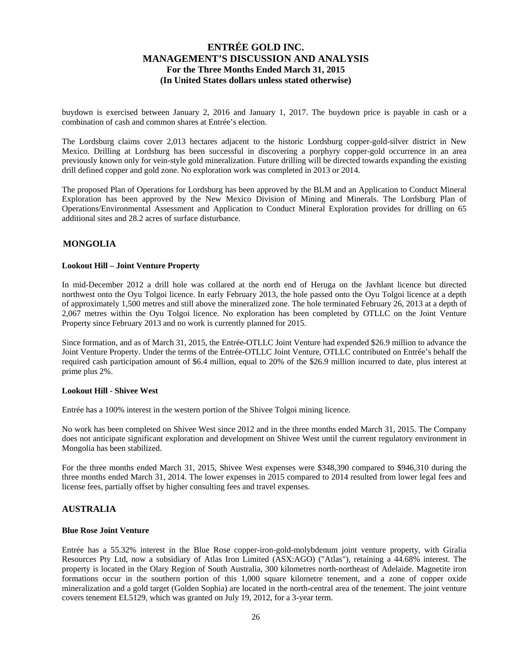buydown is exercised between January 2, 2016 and January 1, 2017. The buydown price is payable in cash or a combination of cash and common shares at Entrée's election.

The Lordsburg claims cover 2,013 hectares adjacent to the historic Lordsburg copper-gold-silver district in New Mexico. Drilling at Lordsburg has been successful in discovering a porphyry copper-gold occurrence in an area previously known only for vein-style gold mineralization. Future drilling will be directed towards expanding the existing drill defined copper and gold zone. No exploration work was completed in 2013 or 2014.

The proposed Plan of Operations for Lordsburg has been approved by the BLM and an Application to Conduct Mineral Exploration has been approved by the New Mexico Division of Mining and Minerals. The Lordsburg Plan of Operations/Environmental Assessment and Application to Conduct Mineral Exploration provides for drilling on 65 additional sites and 28.2 acres of surface disturbance.

### **MONGOLIA**

#### **Lookout Hill – Joint Venture Property**

In mid-December 2012 a drill hole was collared at the north end of Heruga on the Javhlant licence but directed northwest onto the Oyu Tolgoi licence. In early February 2013, the hole passed onto the Oyu Tolgoi licence at a depth of approximately 1,500 metres and still above the mineralized zone. The hole terminated February 26, 2013 at a depth of 2,067 metres within the Oyu Tolgoi licence. No exploration has been completed by OTLLC on the Joint Venture Property since February 2013 and no work is currently planned for 2015.

Since formation, and as of March 31, 2015, the Entrée-OTLLC Joint Venture had expended \$26.9 million to advance the Joint Venture Property. Under the terms of the Entrée-OTLLC Joint Venture, OTLLC contributed on Entrée's behalf the required cash participation amount of \$6.4 million, equal to 20% of the \$26.9 million incurred to date, plus interest at prime plus 2%.

#### **Lookout Hill - Shivee West**

Entrée has a 100% interest in the western portion of the Shivee Tolgoi mining licence.

No work has been completed on Shivee West since 2012 and in the three months ended March 31, 2015. The Company does not anticipate significant exploration and development on Shivee West until the current regulatory environment in Mongolia has been stabilized.

For the three months ended March 31, 2015, Shivee West expenses were \$348,390 compared to \$946,310 during the three months ended March 31, 2014. The lower expenses in 2015 compared to 2014 resulted from lower legal fees and license fees, partially offset by higher consulting fees and travel expenses.

### **AUSTRALIA**

### **Blue Rose Joint Venture**

Entrée has a 55.32% interest in the Blue Rose copper-iron-gold-molybdenum joint venture property, with Giralia Resources Pty Ltd, now a subsidiary of Atlas Iron Limited (ASX:AGO) ("Atlas"), retaining a 44.68% interest. The property is located in the Olary Region of South Australia, 300 kilometres north-northeast of Adelaide. Magnetite iron formations occur in the southern portion of this 1,000 square kilometre tenement, and a zone of copper oxide mineralization and a gold target (Golden Sophia) are located in the north-central area of the tenement. The joint venture covers tenement EL5129, which was granted on July 19, 2012, for a 3-year term.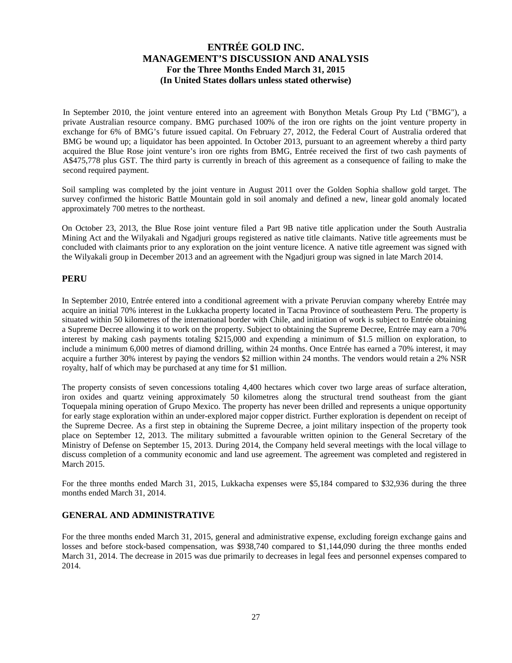In September 2010, the joint venture entered into an agreement with Bonython Metals Group Pty Ltd ("BMG"), a private Australian resource company. BMG purchased 100% of the iron ore rights on the joint venture property in exchange for 6% of BMG's future issued capital. On February 27, 2012, the Federal Court of Australia ordered that BMG be wound up; a liquidator has been appointed. In October 2013, pursuant to an agreement whereby a third party acquired the Blue Rose joint venture's iron ore rights from BMG, Entrée received the first of two cash payments of A\$475,778 plus GST. The third party is currently in breach of this agreement as a consequence of failing to make the second required payment.

Soil sampling was completed by the joint venture in August 2011 over the Golden Sophia shallow gold target. The survey confirmed the historic Battle Mountain gold in soil anomaly and defined a new, linear gold anomaly located approximately 700 metres to the northeast.

On October 23, 2013, the Blue Rose joint venture filed a Part 9B native title application under the South Australia Mining Act and the Wilyakali and Ngadjuri groups registered as native title claimants. Native title agreements must be concluded with claimants prior to any exploration on the joint venture licence. A native title agreement was signed with the Wilyakali group in December 2013 and an agreement with the Ngadjuri group was signed in late March 2014.

### **PERU**

In September 2010, Entrée entered into a conditional agreement with a private Peruvian company whereby Entrée may acquire an initial 70% interest in the Lukkacha property located in Tacna Province of southeastern Peru. The property is situated within 50 kilometres of the international border with Chile, and initiation of work is subject to Entrée obtaining a Supreme Decree allowing it to work on the property. Subject to obtaining the Supreme Decree, Entrée may earn a 70% interest by making cash payments totaling \$215,000 and expending a minimum of \$1.5 million on exploration, to include a minimum 6,000 metres of diamond drilling, within 24 months. Once Entrée has earned a 70% interest, it may acquire a further 30% interest by paying the vendors \$2 million within 24 months. The vendors would retain a 2% NSR royalty, half of which may be purchased at any time for \$1 million.

The property consists of seven concessions totaling 4,400 hectares which cover two large areas of surface alteration, iron oxides and quartz veining approximately 50 kilometres along the structural trend southeast from the giant Toquepala mining operation of Grupo Mexico. The property has never been drilled and represents a unique opportunity for early stage exploration within an under-explored major copper district. Further exploration is dependent on receipt of the Supreme Decree. As a first step in obtaining the Supreme Decree, a joint military inspection of the property took place on September 12, 2013. The military submitted a favourable written opinion to the General Secretary of the Ministry of Defense on September 15, 2013. During 2014, the Company held several meetings with the local village to discuss completion of a community economic and land use agreement. The agreement was completed and registered in March 2015.

For the three months ended March 31, 2015, Lukkacha expenses were \$5,184 compared to \$32,936 during the three months ended March 31, 2014.

### **GENERAL AND ADMINISTRATIVE**

For the three months ended March 31, 2015, general and administrative expense, excluding foreign exchange gains and losses and before stock-based compensation, was \$938,740 compared to \$1,144,090 during the three months ended March 31, 2014. The decrease in 2015 was due primarily to decreases in legal fees and personnel expenses compared to 2014.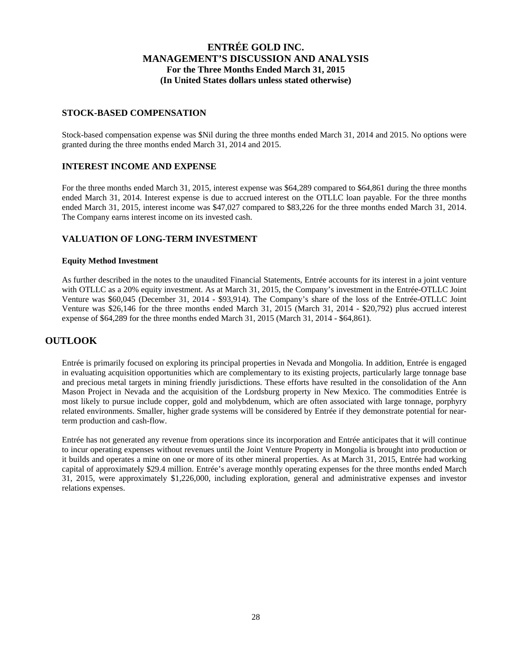### **STOCK-BASED COMPENSATION**

Stock-based compensation expense was \$Nil during the three months ended March 31, 2014 and 2015. No options were granted during the three months ended March 31, 2014 and 2015.

### **INTEREST INCOME AND EXPENSE**

For the three months ended March 31, 2015, interest expense was \$64,289 compared to \$64,861 during the three months ended March 31, 2014. Interest expense is due to accrued interest on the OTLLC loan payable. For the three months ended March 31, 2015, interest income was \$47,027 compared to \$83,226 for the three months ended March 31, 2014. The Company earns interest income on its invested cash.

### **VALUATION OF LONG-TERM INVESTMENT**

#### **Equity Method Investment**

As further described in the notes to the unaudited Financial Statements, Entrée accounts for its interest in a joint venture with OTLLC as a 20% equity investment. As at March 31, 2015, the Company's investment in the Entrée-OTLLC Joint Venture was \$60,045 (December 31, 2014 - \$93,914). The Company's share of the loss of the Entrée-OTLLC Joint Venture was \$26,146 for the three months ended March 31, 2015 (March 31, 2014 - \$20,792) plus accrued interest expense of \$64,289 for the three months ended March 31, 2015 (March 31, 2014 - \$64,861).

# **OUTLOOK**

Entrée is primarily focused on exploring its principal properties in Nevada and Mongolia. In addition, Entrée is engaged in evaluating acquisition opportunities which are complementary to its existing projects, particularly large tonnage base and precious metal targets in mining friendly jurisdictions. These efforts have resulted in the consolidation of the Ann Mason Project in Nevada and the acquisition of the Lordsburg property in New Mexico. The commodities Entrée is most likely to pursue include copper, gold and molybdenum, which are often associated with large tonnage, porphyry related environments. Smaller, higher grade systems will be considered by Entrée if they demonstrate potential for nearterm production and cash-flow.

Entrée has not generated any revenue from operations since its incorporation and Entrée anticipates that it will continue to incur operating expenses without revenues until the Joint Venture Property in Mongolia is brought into production or it builds and operates a mine on one or more of its other mineral properties. As at March 31, 2015, Entrée had working capital of approximately \$29.4 million. Entrée's average monthly operating expenses for the three months ended March 31, 2015, were approximately \$1,226,000, including exploration, general and administrative expenses and investor relations expenses.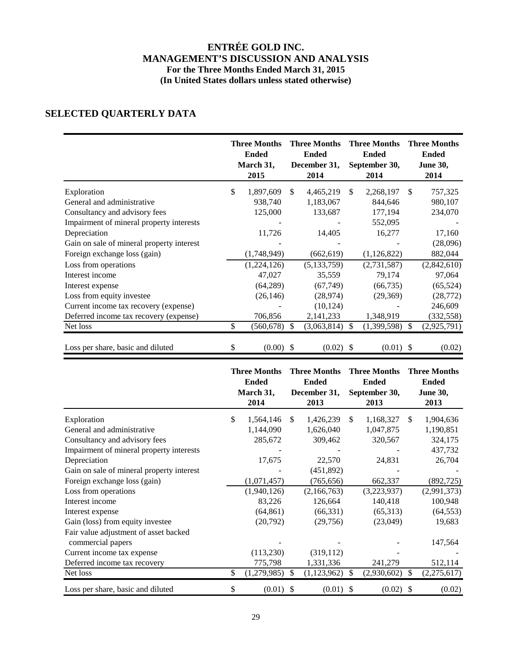# **SELECTED QUARTERLY DATA**

|                                           | <b>Three Months</b><br><b>Ended</b><br>March 31,<br>2015 |               | <b>Three Months</b><br><b>Ended</b><br>December 31,<br>2014 |               | <b>Three Months</b><br><b>Ended</b><br>September 30,<br>2014 |               | <b>Three Months</b><br><b>Ended</b><br><b>June 30,</b><br>2014 |
|-------------------------------------------|----------------------------------------------------------|---------------|-------------------------------------------------------------|---------------|--------------------------------------------------------------|---------------|----------------------------------------------------------------|
| Exploration                               | \$<br>1,897,609                                          | \$            | 4,465,219                                                   | $\mathbb{S}$  | 2,268,197                                                    | S.            | 757,325                                                        |
| General and administrative                | 938,740                                                  |               | 1,183,067                                                   |               | 844,646                                                      |               | 980,107                                                        |
| Consultancy and advisory fees             | 125,000                                                  |               | 133,687                                                     |               | 177,194                                                      |               | 234,070                                                        |
| Impairment of mineral property interests  |                                                          |               |                                                             |               | 552,095                                                      |               |                                                                |
| Depreciation                              | 11,726                                                   |               | 14,405                                                      |               | 16,277                                                       |               | 17,160                                                         |
| Gain on sale of mineral property interest |                                                          |               |                                                             |               |                                                              |               | (28,096)                                                       |
| Foreign exchange loss (gain)              | (1,748,949)                                              |               | (662, 619)                                                  |               | (1,126,822)                                                  |               | 882,044                                                        |
| Loss from operations                      | (1,224,126)                                              |               | (5, 133, 759)                                               |               | (2,731,587)                                                  |               | (2,842,610)                                                    |
| Interest income                           | 47,027                                                   |               | 35,559                                                      |               | 79,174                                                       |               | 97,064                                                         |
| Interest expense                          | (64,289)                                                 |               | (67, 749)                                                   |               | (66, 735)                                                    |               | (65, 524)                                                      |
| Loss from equity investee                 | (26, 146)                                                |               | (28, 974)                                                   |               | (29,369)                                                     |               | (28, 772)                                                      |
| Current income tax recovery (expense)     |                                                          |               | (10, 124)                                                   |               |                                                              |               | 246,609                                                        |
| Deferred income tax recovery (expense)    | 706,856                                                  |               | 2,141,233                                                   |               | 1,348,919                                                    |               | (332, 558)                                                     |
| Net loss                                  | \$<br>(560, 678)                                         | <sup>\$</sup> | (3,063,814)                                                 | <sup>\$</sup> | (1,399,598)                                                  | <sup>\$</sup> | (2,925,791)                                                    |
| Loss per share, basic and diluted         | \$<br>$(0.00)$ \$                                        |               | $(0.02)$ \$                                                 |               | $(0.01)$ \$                                                  |               | (0.02)                                                         |

|                                                            | <b>Three Months</b><br><b>Ended</b><br>March 31,<br>2014 |               | <b>Three Months</b><br><b>Ended</b><br>December 31,<br>2013 |               | <b>Three Months</b><br><b>Ended</b><br>September 30,<br>2013 |     | <b>Three Months</b><br><b>Ended</b><br><b>June 30,</b><br>2013 |
|------------------------------------------------------------|----------------------------------------------------------|---------------|-------------------------------------------------------------|---------------|--------------------------------------------------------------|-----|----------------------------------------------------------------|
| Exploration                                                | \$<br>1,564,146                                          | <sup>\$</sup> | 1,426,239                                                   | <sup>\$</sup> | 1,168,327                                                    | \$. | 1,904,636                                                      |
| General and administrative                                 | 1,144,090                                                |               | 1,626,040                                                   |               | 1,047,875                                                    |     | 1,190,851                                                      |
| Consultancy and advisory fees                              | 285,672                                                  |               | 309,462                                                     |               | 320,567                                                      |     | 324,175                                                        |
| Impairment of mineral property interests                   |                                                          |               |                                                             |               |                                                              |     | 437,732                                                        |
| Depreciation                                               | 17,675                                                   |               | 22,570                                                      |               | 24,831                                                       |     | 26,704                                                         |
| Gain on sale of mineral property interest                  |                                                          |               | (451,892)                                                   |               |                                                              |     |                                                                |
| Foreign exchange loss (gain)                               | (1,071,457)                                              |               | (765, 656)                                                  |               | 662,337                                                      |     | (892, 725)                                                     |
| Loss from operations                                       | (1,940,126)                                              |               | (2,166,763)                                                 |               | (3,223,937)                                                  |     | (2,991,373)                                                    |
| Interest income                                            | 83,226                                                   |               | 126,664                                                     |               | 140,418                                                      |     | 100,948                                                        |
| Interest expense                                           | (64, 861)                                                |               | (66, 331)                                                   |               | (65,313)                                                     |     | (64, 553)                                                      |
| Gain (loss) from equity investee                           | (20,792)                                                 |               | (29,756)                                                    |               | (23,049)                                                     |     | 19,683                                                         |
| Fair value adjustment of asset backed<br>commercial papers |                                                          |               |                                                             |               |                                                              |     | 147,564                                                        |
| Current income tax expense                                 | (113, 230)                                               |               | (319,112)                                                   |               |                                                              |     |                                                                |
| Deferred income tax recovery                               | 775,798                                                  |               | 1,331,336                                                   |               | 241,279                                                      |     | 512,114                                                        |
| Net loss                                                   | \$<br>(1,279,985)                                        | S.            | (1, 123, 962)                                               | \$            | (2,930,602)                                                  | S.  | (2,275,617)                                                    |
| Loss per share, basic and diluted                          | \$<br>$(0.01)$ \$                                        |               | $(0.01)$ \$                                                 |               | (0.02)                                                       | -S  | (0.02)                                                         |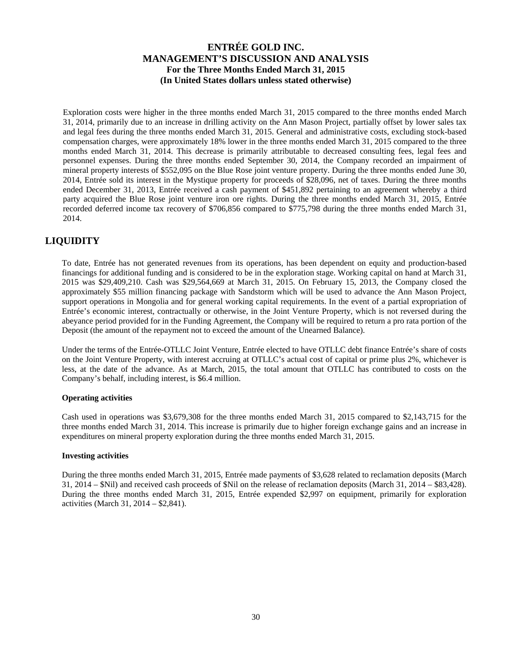Exploration costs were higher in the three months ended March 31, 2015 compared to the three months ended March 31, 2014, primarily due to an increase in drilling activity on the Ann Mason Project, partially offset by lower sales tax and legal fees during the three months ended March 31, 2015. General and administrative costs, excluding stock-based compensation charges, were approximately 18% lower in the three months ended March 31, 2015 compared to the three months ended March 31, 2014. This decrease is primarily attributable to decreased consulting fees, legal fees and personnel expenses. During the three months ended September 30, 2014, the Company recorded an impairment of mineral property interests of \$552,095 on the Blue Rose joint venture property. During the three months ended June 30, 2014, Entrée sold its interest in the Mystique property for proceeds of \$28,096, net of taxes. During the three months ended December 31, 2013, Entrée received a cash payment of \$451,892 pertaining to an agreement whereby a third party acquired the Blue Rose joint venture iron ore rights. During the three months ended March 31, 2015, Entrée recorded deferred income tax recovery of \$706,856 compared to \$775,798 during the three months ended March 31, 2014.

# **LIQUIDITY**

To date, Entrée has not generated revenues from its operations, has been dependent on equity and production-based financings for additional funding and is considered to be in the exploration stage. Working capital on hand at March 31, 2015 was \$29,409,210. Cash was \$29,564,669 at March 31, 2015. On February 15, 2013, the Company closed the approximately \$55 million financing package with Sandstorm which will be used to advance the Ann Mason Project, support operations in Mongolia and for general working capital requirements. In the event of a partial expropriation of Entrée's economic interest, contractually or otherwise, in the Joint Venture Property, which is not reversed during the abeyance period provided for in the Funding Agreement, the Company will be required to return a pro rata portion of the Deposit (the amount of the repayment not to exceed the amount of the Unearned Balance).

Under the terms of the Entrée-OTLLC Joint Venture, Entrée elected to have OTLLC debt finance Entrée's share of costs on the Joint Venture Property, with interest accruing at OTLLC's actual cost of capital or prime plus 2%, whichever is less, at the date of the advance. As at March, 2015, the total amount that OTLLC has contributed to costs on the Company's behalf, including interest, is \$6.4 million.

### **Operating activities**

Cash used in operations was \$3,679,308 for the three months ended March 31, 2015 compared to \$2,143,715 for the three months ended March 31, 2014. This increase is primarily due to higher foreign exchange gains and an increase in expenditures on mineral property exploration during the three months ended March 31, 2015.

### **Investing activities**

During the three months ended March 31, 2015, Entrée made payments of \$3,628 related to reclamation deposits (March 31, 2014 – \$Nil) and received cash proceeds of \$Nil on the release of reclamation deposits (March 31, 2014 – \$83,428). During the three months ended March 31, 2015, Entrée expended \$2,997 on equipment, primarily for exploration activities (March 31, 2014 – \$2,841).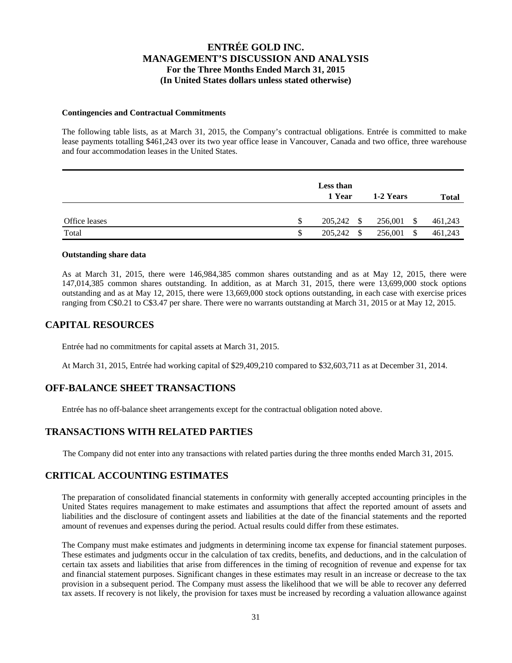#### **Contingencies and Contractual Commitments**

The following table lists, as at March 31, 2015, the Company's contractual obligations. Entrée is committed to make lease payments totalling \$461,243 over its two year office lease in Vancouver, Canada and two office, three warehouse and four accommodation leases in the United States.

|               | <b>Less than</b><br>1 Year | 1-2 Years  | <b>Total</b> |
|---------------|----------------------------|------------|--------------|
| Office leases | \$<br>205,242 \$           | 256,001 \$ | 461,243      |
| Total         | \$<br>205,242 \$           | 256,001 \$ | 461,243      |

#### **Outstanding share data**

As at March 31, 2015, there were 146,984,385 common shares outstanding and as at May 12, 2015, there were 147,014,385 common shares outstanding. In addition, as at March 31, 2015, there were 13,699,000 stock options outstanding and as at May 12, 2015, there were 13,669,000 stock options outstanding, in each case with exercise prices ranging from C\$0.21 to C\$3.47 per share. There were no warrants outstanding at March 31, 2015 or at May 12, 2015.

### **CAPITAL RESOURCES**

Entrée had no commitments for capital assets at March 31, 2015.

At March 31, 2015, Entrée had working capital of \$29,409,210 compared to \$32,603,711 as at December 31, 2014.

### **OFF-BALANCE SHEET TRANSACTIONS**

Entrée has no off-balance sheet arrangements except for the contractual obligation noted above.

### **TRANSACTIONS WITH RELATED PARTIES**

The Company did not enter into any transactions with related parties during the three months ended March 31, 2015.

### **CRITICAL ACCOUNTING ESTIMATES**

The preparation of consolidated financial statements in conformity with generally accepted accounting principles in the United States requires management to make estimates and assumptions that affect the reported amount of assets and liabilities and the disclosure of contingent assets and liabilities at the date of the financial statements and the reported amount of revenues and expenses during the period. Actual results could differ from these estimates.

The Company must make estimates and judgments in determining income tax expense for financial statement purposes. These estimates and judgments occur in the calculation of tax credits, benefits, and deductions, and in the calculation of certain tax assets and liabilities that arise from differences in the timing of recognition of revenue and expense for tax and financial statement purposes. Significant changes in these estimates may result in an increase or decrease to the tax provision in a subsequent period. The Company must assess the likelihood that we will be able to recover any deferred tax assets. If recovery is not likely, the provision for taxes must be increased by recording a valuation allowance against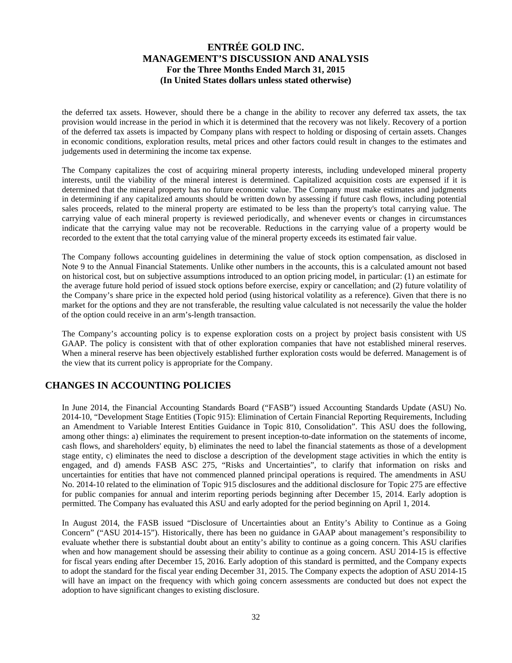the deferred tax assets. However, should there be a change in the ability to recover any deferred tax assets, the tax provision would increase in the period in which it is determined that the recovery was not likely. Recovery of a portion of the deferred tax assets is impacted by Company plans with respect to holding or disposing of certain assets. Changes in economic conditions, exploration results, metal prices and other factors could result in changes to the estimates and judgements used in determining the income tax expense.

The Company capitalizes the cost of acquiring mineral property interests, including undeveloped mineral property interests, until the viability of the mineral interest is determined. Capitalized acquisition costs are expensed if it is determined that the mineral property has no future economic value. The Company must make estimates and judgments in determining if any capitalized amounts should be written down by assessing if future cash flows, including potential sales proceeds, related to the mineral property are estimated to be less than the property's total carrying value. The carrying value of each mineral property is reviewed periodically, and whenever events or changes in circumstances indicate that the carrying value may not be recoverable. Reductions in the carrying value of a property would be recorded to the extent that the total carrying value of the mineral property exceeds its estimated fair value.

The Company follows accounting guidelines in determining the value of stock option compensation, as disclosed in Note 9 to the Annual Financial Statements. Unlike other numbers in the accounts, this is a calculated amount not based on historical cost, but on subjective assumptions introduced to an option pricing model, in particular: (1) an estimate for the average future hold period of issued stock options before exercise, expiry or cancellation; and (2) future volatility of the Company's share price in the expected hold period (using historical volatility as a reference). Given that there is no market for the options and they are not transferable, the resulting value calculated is not necessarily the value the holder of the option could receive in an arm's-length transaction.

The Company's accounting policy is to expense exploration costs on a project by project basis consistent with US GAAP. The policy is consistent with that of other exploration companies that have not established mineral reserves. When a mineral reserve has been objectively established further exploration costs would be deferred. Management is of the view that its current policy is appropriate for the Company.

# **CHANGES IN ACCOUNTING POLICIES**

In June 2014, the Financial Accounting Standards Board ("FASB") issued Accounting Standards Update (ASU) No. 2014-10, "Development Stage Entities (Topic 915): Elimination of Certain Financial Reporting Requirements, Including an Amendment to Variable Interest Entities Guidance in Topic 810, Consolidation". This ASU does the following, among other things: a) eliminates the requirement to present inception-to-date information on the statements of income, cash flows, and shareholders' equity, b) eliminates the need to label the financial statements as those of a development stage entity, c) eliminates the need to disclose a description of the development stage activities in which the entity is engaged, and d) amends FASB ASC 275, "Risks and Uncertainties", to clarify that information on risks and uncertainties for entities that have not commenced planned principal operations is required. The amendments in ASU No. 2014-10 related to the elimination of Topic 915 disclosures and the additional disclosure for Topic 275 are effective for public companies for annual and interim reporting periods beginning after December 15, 2014. Early adoption is permitted. The Company has evaluated this ASU and early adopted for the period beginning on April 1, 2014.

In August 2014, the FASB issued "Disclosure of Uncertainties about an Entity's Ability to Continue as a Going Concern" ("ASU 2014-15"). Historically, there has been no guidance in GAAP about management's responsibility to evaluate whether there is substantial doubt about an entity's ability to continue as a going concern. This ASU clarifies when and how management should be assessing their ability to continue as a going concern. ASU 2014-15 is effective for fiscal years ending after December 15, 2016. Early adoption of this standard is permitted, and the Company expects to adopt the standard for the fiscal year ending December 31, 2015. The Company expects the adoption of ASU 2014-15 will have an impact on the frequency with which going concern assessments are conducted but does not expect the adoption to have significant changes to existing disclosure.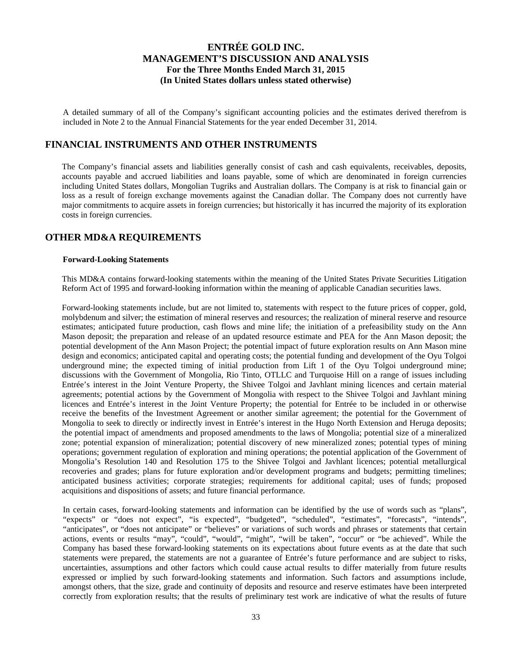A detailed summary of all of the Company's significant accounting policies and the estimates derived therefrom is included in Note 2 to the Annual Financial Statements for the year ended December 31, 2014.

### **FINANCIAL INSTRUMENTS AND OTHER INSTRUMENTS**

The Company's financial assets and liabilities generally consist of cash and cash equivalents, receivables, deposits, accounts payable and accrued liabilities and loans payable, some of which are denominated in foreign currencies including United States dollars, Mongolian Tugriks and Australian dollars. The Company is at risk to financial gain or loss as a result of foreign exchange movements against the Canadian dollar. The Company does not currently have major commitments to acquire assets in foreign currencies; but historically it has incurred the majority of its exploration costs in foreign currencies.

### **OTHER MD&A REQUIREMENTS**

### **Forward-Looking Statements**

This MD&A contains forward-looking statements within the meaning of the United States Private Securities Litigation Reform Act of 1995 and forward-looking information within the meaning of applicable Canadian securities laws.

Forward-looking statements include, but are not limited to, statements with respect to the future prices of copper, gold, molybdenum and silver; the estimation of mineral reserves and resources; the realization of mineral reserve and resource estimates; anticipated future production, cash flows and mine life; the initiation of a prefeasibility study on the Ann Mason deposit; the preparation and release of an updated resource estimate and PEA for the Ann Mason deposit; the potential development of the Ann Mason Project; the potential impact of future exploration results on Ann Mason mine design and economics; anticipated capital and operating costs; the potential funding and development of the Oyu Tolgoi underground mine; the expected timing of initial production from Lift 1 of the Oyu Tolgoi underground mine; discussions with the Government of Mongolia, Rio Tinto, OTLLC and Turquoise Hill on a range of issues including Entrée's interest in the Joint Venture Property, the Shivee Tolgoi and Javhlant mining licences and certain material agreements; potential actions by the Government of Mongolia with respect to the Shivee Tolgoi and Javhlant mining licences and Entrée's interest in the Joint Venture Property; the potential for Entrée to be included in or otherwise receive the benefits of the Investment Agreement or another similar agreement; the potential for the Government of Mongolia to seek to directly or indirectly invest in Entrée's interest in the Hugo North Extension and Heruga deposits; the potential impact of amendments and proposed amendments to the laws of Mongolia; potential size of a mineralized zone; potential expansion of mineralization; potential discovery of new mineralized zones; potential types of mining operations; government regulation of exploration and mining operations; the potential application of the Government of Mongolia's Resolution 140 and Resolution 175 to the Shivee Tolgoi and Javhlant licences; potential metallurgical recoveries and grades; plans for future exploration and/or development programs and budgets; permitting timelines; anticipated business activities; corporate strategies; requirements for additional capital; uses of funds; proposed acquisitions and dispositions of assets; and future financial performance.

In certain cases, forward-looking statements and information can be identified by the use of words such as "plans", "expects" or "does not expect", "is expected", "budgeted", "scheduled", "estimates", "forecasts", "intends", "anticipates", or "does not anticipate" or "believes" or variations of such words and phrases or statements that certain actions, events or results "may", "could", "would", "might", "will be taken", "occur" or "be achieved". While the Company has based these forward-looking statements on its expectations about future events as at the date that such statements were prepared, the statements are not a guarantee of Entrée's future performance and are subject to risks, uncertainties, assumptions and other factors which could cause actual results to differ materially from future results expressed or implied by such forward-looking statements and information. Such factors and assumptions include, amongst others, that the size, grade and continuity of deposits and resource and reserve estimates have been interpreted correctly from exploration results; that the results of preliminary test work are indicative of what the results of future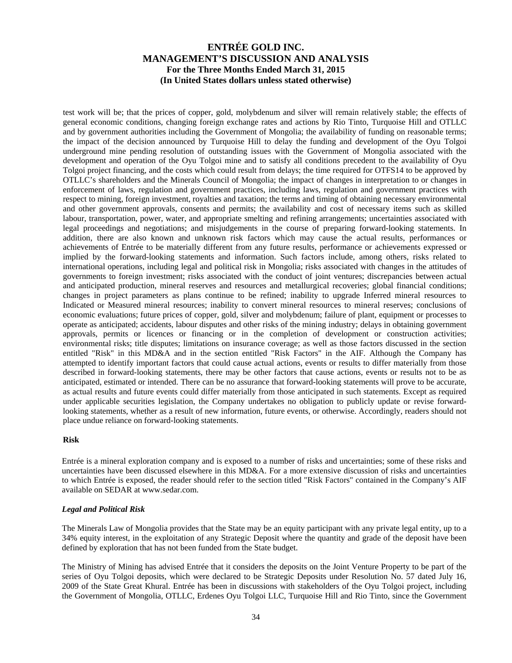test work will be; that the prices of copper, gold, molybdenum and silver will remain relatively stable; the effects of general economic conditions, changing foreign exchange rates and actions by Rio Tinto, Turquoise Hill and OTLLC and by government authorities including the Government of Mongolia; the availability of funding on reasonable terms; the impact of the decision announced by Turquoise Hill to delay the funding and development of the Oyu Tolgoi underground mine pending resolution of outstanding issues with the Government of Mongolia associated with the development and operation of the Oyu Tolgoi mine and to satisfy all conditions precedent to the availability of Oyu Tolgoi project financing, and the costs which could result from delays; the time required for OTFS14 to be approved by OTLLC's shareholders and the Minerals Council of Mongolia; the impact of changes in interpretation to or changes in enforcement of laws, regulation and government practices, including laws, regulation and government practices with respect to mining, foreign investment, royalties and taxation; the terms and timing of obtaining necessary environmental and other government approvals, consents and permits; the availability and cost of necessary items such as skilled labour, transportation, power, water, and appropriate smelting and refining arrangements; uncertainties associated with legal proceedings and negotiations; and misjudgements in the course of preparing forward-looking statements. In addition, there are also known and unknown risk factors which may cause the actual results, performances or achievements of Entrée to be materially different from any future results, performance or achievements expressed or implied by the forward-looking statements and information. Such factors include, among others, risks related to international operations, including legal and political risk in Mongolia; risks associated with changes in the attitudes of governments to foreign investment; risks associated with the conduct of joint ventures; discrepancies between actual and anticipated production, mineral reserves and resources and metallurgical recoveries; global financial conditions; changes in project parameters as plans continue to be refined; inability to upgrade Inferred mineral resources to Indicated or Measured mineral resources; inability to convert mineral resources to mineral reserves; conclusions of economic evaluations; future prices of copper, gold, silver and molybdenum; failure of plant, equipment or processes to operate as anticipated; accidents, labour disputes and other risks of the mining industry; delays in obtaining government approvals, permits or licences or financing or in the completion of development or construction activities; environmental risks; title disputes; limitations on insurance coverage; as well as those factors discussed in the section entitled "Risk" in this MD&A and in the section entitled "Risk Factors" in the AIF. Although the Company has attempted to identify important factors that could cause actual actions, events or results to differ materially from those described in forward-looking statements, there may be other factors that cause actions, events or results not to be as anticipated, estimated or intended. There can be no assurance that forward-looking statements will prove to be accurate, as actual results and future events could differ materially from those anticipated in such statements. Except as required under applicable securities legislation, the Company undertakes no obligation to publicly update or revise forwardlooking statements, whether as a result of new information, future events, or otherwise. Accordingly, readers should not place undue reliance on forward-looking statements.

#### **Risk**

Entrée is a mineral exploration company and is exposed to a number of risks and uncertainties; some of these risks and uncertainties have been discussed elsewhere in this MD&A. For a more extensive discussion of risks and uncertainties to which Entrée is exposed, the reader should refer to the section titled "Risk Factors" contained in the Company's AIF available on SEDAR at www.sedar.com.

#### *Legal and Political Risk*

The Minerals Law of Mongolia provides that the State may be an equity participant with any private legal entity, up to a 34% equity interest, in the exploitation of any Strategic Deposit where the quantity and grade of the deposit have been defined by exploration that has not been funded from the State budget.

The Ministry of Mining has advised Entrée that it considers the deposits on the Joint Venture Property to be part of the series of Oyu Tolgoi deposits, which were declared to be Strategic Deposits under Resolution No. 57 dated July 16, 2009 of the State Great Khural. Entrée has been in discussions with stakeholders of the Oyu Tolgoi project, including the Government of Mongolia, OTLLC, Erdenes Oyu Tolgoi LLC, Turquoise Hill and Rio Tinto, since the Government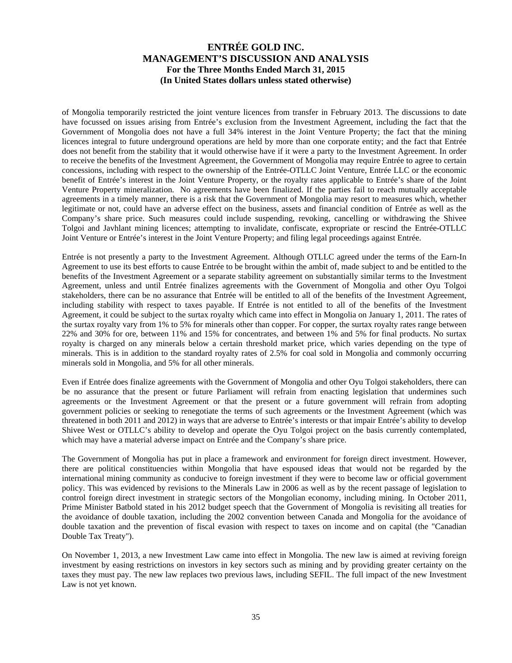of Mongolia temporarily restricted the joint venture licences from transfer in February 2013. The discussions to date have focussed on issues arising from Entrée's exclusion from the Investment Agreement, including the fact that the Government of Mongolia does not have a full 34% interest in the Joint Venture Property; the fact that the mining licences integral to future underground operations are held by more than one corporate entity; and the fact that Entrée does not benefit from the stability that it would otherwise have if it were a party to the Investment Agreement. In order to receive the benefits of the Investment Agreement, the Government of Mongolia may require Entrée to agree to certain concessions, including with respect to the ownership of the Entrée-OTLLC Joint Venture, Entrée LLC or the economic benefit of Entrée's interest in the Joint Venture Property, or the royalty rates applicable to Entrée's share of the Joint Venture Property mineralization. No agreements have been finalized. If the parties fail to reach mutually acceptable agreements in a timely manner, there is a risk that the Government of Mongolia may resort to measures which, whether legitimate or not, could have an adverse effect on the business, assets and financial condition of Entrée as well as the Company's share price. Such measures could include suspending, revoking, cancelling or withdrawing the Shivee Tolgoi and Javhlant mining licences; attempting to invalidate, confiscate, expropriate or rescind the Entrée-OTLLC Joint Venture or Entrée's interest in the Joint Venture Property; and filing legal proceedings against Entrée.

Entrée is not presently a party to the Investment Agreement. Although OTLLC agreed under the terms of the Earn-In Agreement to use its best efforts to cause Entrée to be brought within the ambit of, made subject to and be entitled to the benefits of the Investment Agreement or a separate stability agreement on substantially similar terms to the Investment Agreement, unless and until Entrée finalizes agreements with the Government of Mongolia and other Oyu Tolgoi stakeholders, there can be no assurance that Entrée will be entitled to all of the benefits of the Investment Agreement, including stability with respect to taxes payable. If Entrée is not entitled to all of the benefits of the Investment Agreement, it could be subject to the surtax royalty which came into effect in Mongolia on January 1, 2011. The rates of the surtax royalty vary from 1% to 5% for minerals other than copper. For copper, the surtax royalty rates range between 22% and 30% for ore, between 11% and 15% for concentrates, and between 1% and 5% for final products. No surtax royalty is charged on any minerals below a certain threshold market price, which varies depending on the type of minerals. This is in addition to the standard royalty rates of 2.5% for coal sold in Mongolia and commonly occurring minerals sold in Mongolia, and 5% for all other minerals.

Even if Entrée does finalize agreements with the Government of Mongolia and other Oyu Tolgoi stakeholders, there can be no assurance that the present or future Parliament will refrain from enacting legislation that undermines such agreements or the Investment Agreement or that the present or a future government will refrain from adopting government policies or seeking to renegotiate the terms of such agreements or the Investment Agreement (which was threatened in both 2011 and 2012) in ways that are adverse to Entrée's interests or that impair Entrée's ability to develop Shivee West or OTLLC's ability to develop and operate the Oyu Tolgoi project on the basis currently contemplated, which may have a material adverse impact on Entrée and the Company's share price.

The Government of Mongolia has put in place a framework and environment for foreign direct investment. However, there are political constituencies within Mongolia that have espoused ideas that would not be regarded by the international mining community as conducive to foreign investment if they were to become law or official government policy. This was evidenced by revisions to the Minerals Law in 2006 as well as by the recent passage of legislation to control foreign direct investment in strategic sectors of the Mongolian economy, including mining. In October 2011, Prime Minister Batbold stated in his 2012 budget speech that the Government of Mongolia is revisiting all treaties for the avoidance of double taxation, including the 2002 convention between Canada and Mongolia for the avoidance of double taxation and the prevention of fiscal evasion with respect to taxes on income and on capital (the "Canadian Double Tax Treaty").

On November 1, 2013, a new Investment Law came into effect in Mongolia. The new law is aimed at reviving foreign investment by easing restrictions on investors in key sectors such as mining and by providing greater certainty on the taxes they must pay. The new law replaces two previous laws, including SEFIL. The full impact of the new Investment Law is not yet known.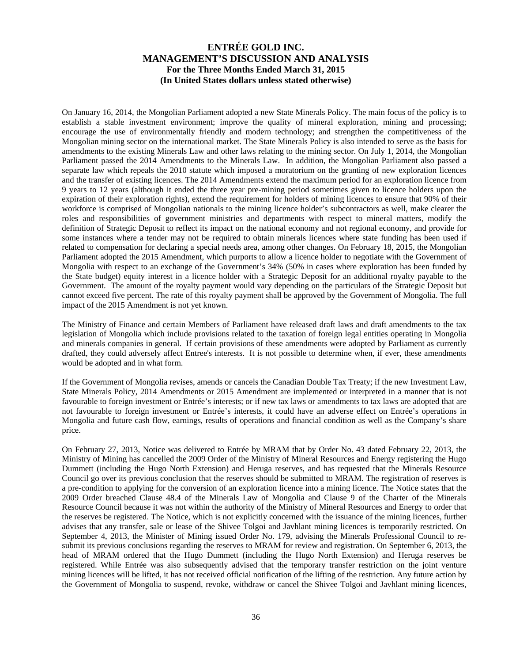On January 16, 2014, the Mongolian Parliament adopted a new State Minerals Policy. The main focus of the policy is to establish a stable investment environment; improve the quality of mineral exploration, mining and processing; encourage the use of environmentally friendly and modern technology; and strengthen the competitiveness of the Mongolian mining sector on the international market. The State Minerals Policy is also intended to serve as the basis for amendments to the existing Minerals Law and other laws relating to the mining sector. On July 1, 2014, the Mongolian Parliament passed the 2014 Amendments to the Minerals Law. In addition, the Mongolian Parliament also passed a separate law which repeals the 2010 statute which imposed a moratorium on the granting of new exploration licences and the transfer of existing licences. The 2014 Amendments extend the maximum period for an exploration licence from 9 years to 12 years (although it ended the three year pre-mining period sometimes given to licence holders upon the expiration of their exploration rights), extend the requirement for holders of mining licences to ensure that 90% of their workforce is comprised of Mongolian nationals to the mining licence holder's subcontractors as well, make clearer the roles and responsibilities of government ministries and departments with respect to mineral matters, modify the definition of Strategic Deposit to reflect its impact on the national economy and not regional economy, and provide for some instances where a tender may not be required to obtain minerals licences where state funding has been used if related to compensation for declaring a special needs area, among other changes. On February 18, 2015, the Mongolian Parliament adopted the 2015 Amendment, which purports to allow a licence holder to negotiate with the Government of Mongolia with respect to an exchange of the Government's 34% (50% in cases where exploration has been funded by the State budget) equity interest in a licence holder with a Strategic Deposit for an additional royalty payable to the Government. The amount of the royalty payment would vary depending on the particulars of the Strategic Deposit but cannot exceed five percent. The rate of this royalty payment shall be approved by the Government of Mongolia. The full impact of the 2015 Amendment is not yet known.

The Ministry of Finance and certain Members of Parliament have released draft laws and draft amendments to the tax legislation of Mongolia which include provisions related to the taxation of foreign legal entities operating in Mongolia and minerals companies in general. If certain provisions of these amendments were adopted by Parliament as currently drafted, they could adversely affect Entree's interests. It is not possible to determine when, if ever, these amendments would be adopted and in what form.

If the Government of Mongolia revises, amends or cancels the Canadian Double Tax Treaty; if the new Investment Law, State Minerals Policy, 2014 Amendments or 2015 Amendment are implemented or interpreted in a manner that is not favourable to foreign investment or Entrée's interests; or if new tax laws or amendments to tax laws are adopted that are not favourable to foreign investment or Entrée's interests, it could have an adverse effect on Entrée's operations in Mongolia and future cash flow, earnings, results of operations and financial condition as well as the Company's share price.

On February 27, 2013, Notice was delivered to Entrée by MRAM that by Order No. 43 dated February 22, 2013, the Ministry of Mining has cancelled the 2009 Order of the Ministry of Mineral Resources and Energy registering the Hugo Dummett (including the Hugo North Extension) and Heruga reserves, and has requested that the Minerals Resource Council go over its previous conclusion that the reserves should be submitted to MRAM. The registration of reserves is a pre-condition to applying for the conversion of an exploration licence into a mining licence. The Notice states that the 2009 Order breached Clause 48.4 of the Minerals Law of Mongolia and Clause 9 of the Charter of the Minerals Resource Council because it was not within the authority of the Ministry of Mineral Resources and Energy to order that the reserves be registered. The Notice, which is not explicitly concerned with the issuance of the mining licences, further advises that any transfer, sale or lease of the Shivee Tolgoi and Javhlant mining licences is temporarily restricted. On September 4, 2013, the Minister of Mining issued Order No. 179, advising the Minerals Professional Council to resubmit its previous conclusions regarding the reserves to MRAM for review and registration. On September 6, 2013, the head of MRAM ordered that the Hugo Dummett (including the Hugo North Extension) and Heruga reserves be registered. While Entrée was also subsequently advised that the temporary transfer restriction on the joint venture mining licences will be lifted, it has not received official notification of the lifting of the restriction. Any future action by the Government of Mongolia to suspend, revoke, withdraw or cancel the Shivee Tolgoi and Javhlant mining licences,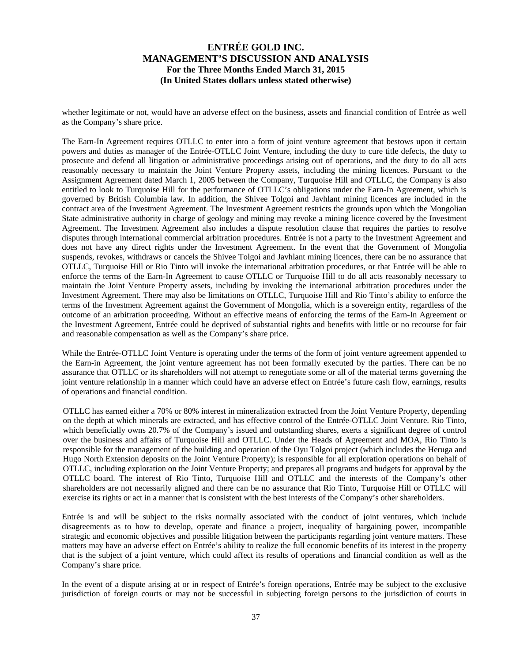whether legitimate or not, would have an adverse effect on the business, assets and financial condition of Entrée as well as the Company's share price.

The Earn-In Agreement requires OTLLC to enter into a form of joint venture agreement that bestows upon it certain powers and duties as manager of the Entrée-OTLLC Joint Venture, including the duty to cure title defects, the duty to prosecute and defend all litigation or administrative proceedings arising out of operations, and the duty to do all acts reasonably necessary to maintain the Joint Venture Property assets, including the mining licences. Pursuant to the Assignment Agreement dated March 1, 2005 between the Company, Turquoise Hill and OTLLC, the Company is also entitled to look to Turquoise Hill for the performance of OTLLC's obligations under the Earn-In Agreement, which is governed by British Columbia law. In addition, the Shivee Tolgoi and Javhlant mining licences are included in the contract area of the Investment Agreement. The Investment Agreement restricts the grounds upon which the Mongolian State administrative authority in charge of geology and mining may revoke a mining licence covered by the Investment Agreement. The Investment Agreement also includes a dispute resolution clause that requires the parties to resolve disputes through international commercial arbitration procedures. Entrée is not a party to the Investment Agreement and does not have any direct rights under the Investment Agreement. In the event that the Government of Mongolia suspends, revokes, withdraws or cancels the Shivee Tolgoi and Javhlant mining licences, there can be no assurance that OTLLC, Turquoise Hill or Rio Tinto will invoke the international arbitration procedures, or that Entrée will be able to enforce the terms of the Earn-In Agreement to cause OTLLC or Turquoise Hill to do all acts reasonably necessary to maintain the Joint Venture Property assets, including by invoking the international arbitration procedures under the Investment Agreement. There may also be limitations on OTLLC, Turquoise Hill and Rio Tinto's ability to enforce the terms of the Investment Agreement against the Government of Mongolia, which is a sovereign entity, regardless of the outcome of an arbitration proceeding. Without an effective means of enforcing the terms of the Earn-In Agreement or the Investment Agreement, Entrée could be deprived of substantial rights and benefits with little or no recourse for fair and reasonable compensation as well as the Company's share price.

While the Entrée-OTLLC Joint Venture is operating under the terms of the form of joint venture agreement appended to the Earn-in Agreement, the joint venture agreement has not been formally executed by the parties. There can be no assurance that OTLLC or its shareholders will not attempt to renegotiate some or all of the material terms governing the joint venture relationship in a manner which could have an adverse effect on Entrée's future cash flow, earnings, results of operations and financial condition.

OTLLC has earned either a 70% or 80% interest in mineralization extracted from the Joint Venture Property, depending on the depth at which minerals are extracted, and has effective control of the Entrée-OTLLC Joint Venture. Rio Tinto, which beneficially owns 20.7% of the Company's issued and outstanding shares, exerts a significant degree of control over the business and affairs of Turquoise Hill and OTLLC. Under the Heads of Agreement and MOA, Rio Tinto is responsible for the management of the building and operation of the Oyu Tolgoi project (which includes the Heruga and Hugo North Extension deposits on the Joint Venture Property); is responsible for all exploration operations on behalf of OTLLC, including exploration on the Joint Venture Property; and prepares all programs and budgets for approval by the OTLLC board. The interest of Rio Tinto, Turquoise Hill and OTLLC and the interests of the Company's other shareholders are not necessarily aligned and there can be no assurance that Rio Tinto, Turquoise Hill or OTLLC will exercise its rights or act in a manner that is consistent with the best interests of the Company's other shareholders.

Entrée is and will be subject to the risks normally associated with the conduct of joint ventures, which include disagreements as to how to develop, operate and finance a project, inequality of bargaining power, incompatible strategic and economic objectives and possible litigation between the participants regarding joint venture matters. These matters may have an adverse effect on Entrée's ability to realize the full economic benefits of its interest in the property that is the subject of a joint venture, which could affect its results of operations and financial condition as well as the Company's share price.

In the event of a dispute arising at or in respect of Entrée's foreign operations, Entrée may be subject to the exclusive jurisdiction of foreign courts or may not be successful in subjecting foreign persons to the jurisdiction of courts in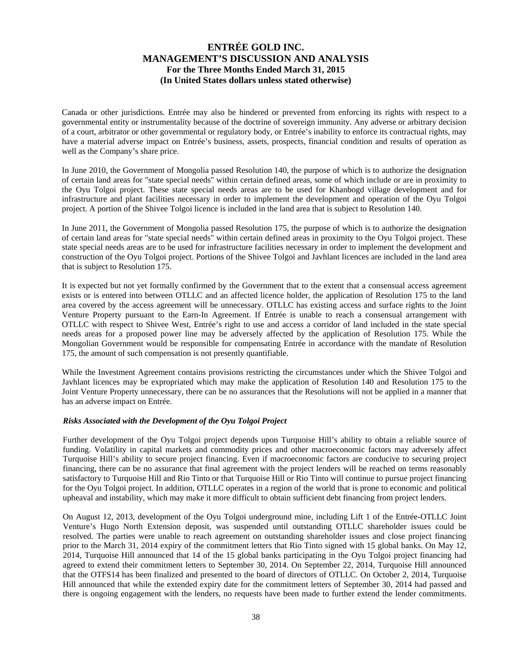Canada or other jurisdictions. Entrée may also be hindered or prevented from enforcing its rights with respect to a governmental entity or instrumentality because of the doctrine of sovereign immunity. Any adverse or arbitrary decision of a court, arbitrator or other governmental or regulatory body, or Entrée's inability to enforce its contractual rights, may have a material adverse impact on Entrée's business, assets, prospects, financial condition and results of operation as well as the Company's share price.

In June 2010, the Government of Mongolia passed Resolution 140, the purpose of which is to authorize the designation of certain land areas for "state special needs" within certain defined areas, some of which include or are in proximity to the Oyu Tolgoi project. These state special needs areas are to be used for Khanbogd village development and for infrastructure and plant facilities necessary in order to implement the development and operation of the Oyu Tolgoi project. A portion of the Shivee Tolgoi licence is included in the land area that is subject to Resolution 140.

In June 2011, the Government of Mongolia passed Resolution 175, the purpose of which is to authorize the designation of certain land areas for "state special needs" within certain defined areas in proximity to the Oyu Tolgoi project. These state special needs areas are to be used for infrastructure facilities necessary in order to implement the development and construction of the Oyu Tolgoi project. Portions of the Shivee Tolgoi and Javhlant licences are included in the land area that is subject to Resolution 175.

It is expected but not yet formally confirmed by the Government that to the extent that a consensual access agreement exists or is entered into between OTLLC and an affected licence holder, the application of Resolution 175 to the land area covered by the access agreement will be unnecessary. OTLLC has existing access and surface rights to the Joint Venture Property pursuant to the Earn-In Agreement. If Entrée is unable to reach a consensual arrangement with OTLLC with respect to Shivee West, Entrée's right to use and access a corridor of land included in the state special needs areas for a proposed power line may be adversely affected by the application of Resolution 175. While the Mongolian Government would be responsible for compensating Entrée in accordance with the mandate of Resolution 175, the amount of such compensation is not presently quantifiable.

While the Investment Agreement contains provisions restricting the circumstances under which the Shivee Tolgoi and Javhlant licences may be expropriated which may make the application of Resolution 140 and Resolution 175 to the Joint Venture Property unnecessary, there can be no assurances that the Resolutions will not be applied in a manner that has an adverse impact on Entrée.

#### *Risks Associated with the Development of the Oyu Tolgoi Project*

Further development of the Oyu Tolgoi project depends upon Turquoise Hill's ability to obtain a reliable source of funding. Volatility in capital markets and commodity prices and other macroeconomic factors may adversely affect Turquoise Hill's ability to secure project financing. Even if macroeconomic factors are conducive to securing project financing, there can be no assurance that final agreement with the project lenders will be reached on terms reasonably satisfactory to Turquoise Hill and Rio Tinto or that Turquoise Hill or Rio Tinto will continue to pursue project financing for the Oyu Tolgoi project. In addition, OTLLC operates in a region of the world that is prone to economic and political upheaval and instability, which may make it more difficult to obtain sufficient debt financing from project lenders.

On August 12, 2013, development of the Oyu Tolgoi underground mine, including Lift 1 of the Entrée-OTLLC Joint Venture's Hugo North Extension deposit, was suspended until outstanding OTLLC shareholder issues could be resolved. The parties were unable to reach agreement on outstanding shareholder issues and close project financing prior to the March 31, 2014 expiry of the commitment letters that Rio Tinto signed with 15 global banks. On May 12, 2014, Turquoise Hill announced that 14 of the 15 global banks participating in the Oyu Tolgoi project financing had agreed to extend their commitment letters to September 30, 2014. On September 22, 2014, Turquoise Hill announced that the OTFS14 has been finalized and presented to the board of directors of OTLLC. On October 2, 2014, Turquoise Hill announced that while the extended expiry date for the commitment letters of September 30, 2014 had passed and there is ongoing engagement with the lenders, no requests have been made to further extend the lender commitments.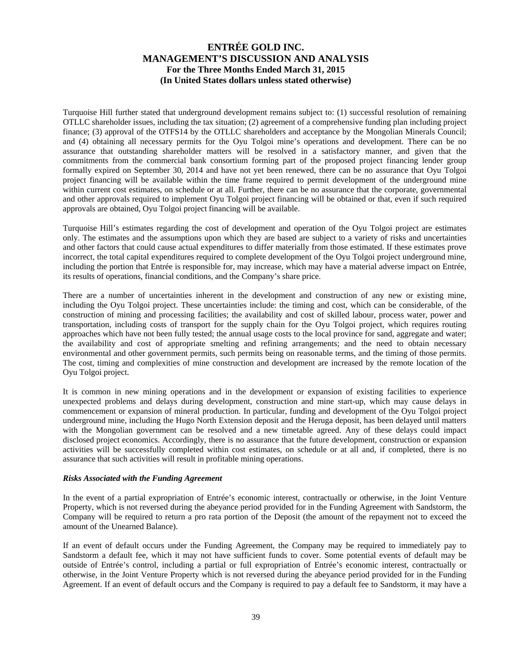Turquoise Hill further stated that underground development remains subject to: (1) successful resolution of remaining OTLLC shareholder issues, including the tax situation; (2) agreement of a comprehensive funding plan including project finance; (3) approval of the OTFS14 by the OTLLC shareholders and acceptance by the Mongolian Minerals Council; and (4) obtaining all necessary permits for the Oyu Tolgoi mine's operations and development. There can be no assurance that outstanding shareholder matters will be resolved in a satisfactory manner, and given that the commitments from the commercial bank consortium forming part of the proposed project financing lender group formally expired on September 30, 2014 and have not yet been renewed, there can be no assurance that Oyu Tolgoi project financing will be available within the time frame required to permit development of the underground mine within current cost estimates, on schedule or at all. Further, there can be no assurance that the corporate, governmental and other approvals required to implement Oyu Tolgoi project financing will be obtained or that, even if such required approvals are obtained, Oyu Tolgoi project financing will be available.

Turquoise Hill's estimates regarding the cost of development and operation of the Oyu Tolgoi project are estimates only. The estimates and the assumptions upon which they are based are subject to a variety of risks and uncertainties and other factors that could cause actual expenditures to differ materially from those estimated. If these estimates prove incorrect, the total capital expenditures required to complete development of the Oyu Tolgoi project underground mine, including the portion that Entrée is responsible for, may increase, which may have a material adverse impact on Entrée, its results of operations, financial conditions, and the Company's share price.

There are a number of uncertainties inherent in the development and construction of any new or existing mine, including the Oyu Tolgoi project. These uncertainties include: the timing and cost, which can be considerable, of the construction of mining and processing facilities; the availability and cost of skilled labour, process water, power and transportation, including costs of transport for the supply chain for the Oyu Tolgoi project, which requires routing approaches which have not been fully tested; the annual usage costs to the local province for sand, aggregate and water; the availability and cost of appropriate smelting and refining arrangements; and the need to obtain necessary environmental and other government permits, such permits being on reasonable terms, and the timing of those permits. The cost, timing and complexities of mine construction and development are increased by the remote location of the Oyu Tolgoi project.

It is common in new mining operations and in the development or expansion of existing facilities to experience unexpected problems and delays during development, construction and mine start-up, which may cause delays in commencement or expansion of mineral production. In particular, funding and development of the Oyu Tolgoi project underground mine, including the Hugo North Extension deposit and the Heruga deposit, has been delayed until matters with the Mongolian government can be resolved and a new timetable agreed. Any of these delays could impact disclosed project economics. Accordingly, there is no assurance that the future development, construction or expansion activities will be successfully completed within cost estimates, on schedule or at all and, if completed, there is no assurance that such activities will result in profitable mining operations.

#### *Risks Associated with the Funding Agreement*

In the event of a partial expropriation of Entrée's economic interest, contractually or otherwise, in the Joint Venture Property, which is not reversed during the abeyance period provided for in the Funding Agreement with Sandstorm, the Company will be required to return a pro rata portion of the Deposit (the amount of the repayment not to exceed the amount of the Unearned Balance).

If an event of default occurs under the Funding Agreement, the Company may be required to immediately pay to Sandstorm a default fee, which it may not have sufficient funds to cover. Some potential events of default may be outside of Entrée's control, including a partial or full expropriation of Entrée's economic interest, contractually or otherwise, in the Joint Venture Property which is not reversed during the abeyance period provided for in the Funding Agreement. If an event of default occurs and the Company is required to pay a default fee to Sandstorm, it may have a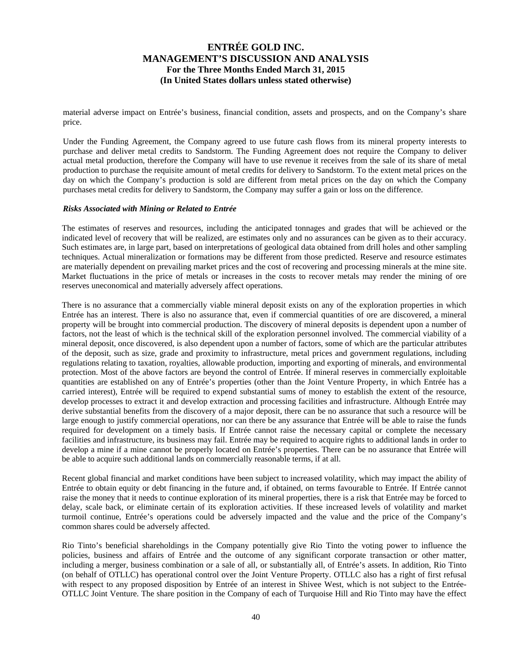material adverse impact on Entrée's business, financial condition, assets and prospects, and on the Company's share price.

Under the Funding Agreement, the Company agreed to use future cash flows from its mineral property interests to purchase and deliver metal credits to Sandstorm. The Funding Agreement does not require the Company to deliver actual metal production, therefore the Company will have to use revenue it receives from the sale of its share of metal production to purchase the requisite amount of metal credits for delivery to Sandstorm. To the extent metal prices on the day on which the Company's production is sold are different from metal prices on the day on which the Company purchases metal credits for delivery to Sandstorm, the Company may suffer a gain or loss on the difference.

#### *Risks Associated with Mining or Related to Entrée*

The estimates of reserves and resources, including the anticipated tonnages and grades that will be achieved or the indicated level of recovery that will be realized, are estimates only and no assurances can be given as to their accuracy. Such estimates are, in large part, based on interpretations of geological data obtained from drill holes and other sampling techniques. Actual mineralization or formations may be different from those predicted. Reserve and resource estimates are materially dependent on prevailing market prices and the cost of recovering and processing minerals at the mine site. Market fluctuations in the price of metals or increases in the costs to recover metals may render the mining of ore reserves uneconomical and materially adversely affect operations.

There is no assurance that a commercially viable mineral deposit exists on any of the exploration properties in which Entrée has an interest. There is also no assurance that, even if commercial quantities of ore are discovered, a mineral property will be brought into commercial production. The discovery of mineral deposits is dependent upon a number of factors, not the least of which is the technical skill of the exploration personnel involved. The commercial viability of a mineral deposit, once discovered, is also dependent upon a number of factors, some of which are the particular attributes of the deposit, such as size, grade and proximity to infrastructure, metal prices and government regulations, including regulations relating to taxation, royalties, allowable production, importing and exporting of minerals, and environmental protection. Most of the above factors are beyond the control of Entrée. If mineral reserves in commercially exploitable quantities are established on any of Entrée's properties (other than the Joint Venture Property, in which Entrée has a carried interest), Entrée will be required to expend substantial sums of money to establish the extent of the resource, develop processes to extract it and develop extraction and processing facilities and infrastructure. Although Entrée may derive substantial benefits from the discovery of a major deposit, there can be no assurance that such a resource will be large enough to justify commercial operations, nor can there be any assurance that Entrée will be able to raise the funds required for development on a timely basis. If Entrée cannot raise the necessary capital or complete the necessary facilities and infrastructure, its business may fail. Entrée may be required to acquire rights to additional lands in order to develop a mine if a mine cannot be properly located on Entrée's properties. There can be no assurance that Entrée will be able to acquire such additional lands on commercially reasonable terms, if at all.

Recent global financial and market conditions have been subject to increased volatility, which may impact the ability of Entrée to obtain equity or debt financing in the future and, if obtained, on terms favourable to Entrée. If Entrée cannot raise the money that it needs to continue exploration of its mineral properties, there is a risk that Entrée may be forced to delay, scale back, or eliminate certain of its exploration activities. If these increased levels of volatility and market turmoil continue, Entrée's operations could be adversely impacted and the value and the price of the Company's common shares could be adversely affected.

Rio Tinto's beneficial shareholdings in the Company potentially give Rio Tinto the voting power to influence the policies, business and affairs of Entrée and the outcome of any significant corporate transaction or other matter, including a merger, business combination or a sale of all, or substantially all, of Entrée's assets. In addition, Rio Tinto (on behalf of OTLLC) has operational control over the Joint Venture Property. OTLLC also has a right of first refusal with respect to any proposed disposition by Entrée of an interest in Shivee West, which is not subject to the Entrée-OTLLC Joint Venture. The share position in the Company of each of Turquoise Hill and Rio Tinto may have the effect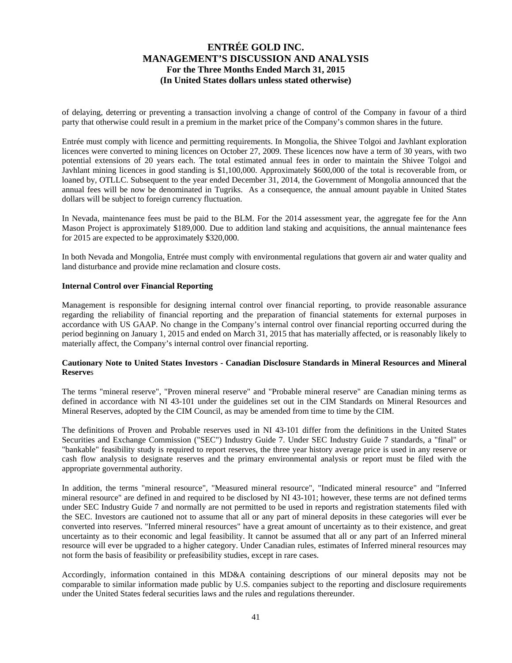of delaying, deterring or preventing a transaction involving a change of control of the Company in favour of a third party that otherwise could result in a premium in the market price of the Company's common shares in the future.

Entrée must comply with licence and permitting requirements. In Mongolia, the Shivee Tolgoi and Javhlant exploration licences were converted to mining licences on October 27, 2009. These licences now have a term of 30 years, with two potential extensions of 20 years each. The total estimated annual fees in order to maintain the Shivee Tolgoi and Javhlant mining licences in good standing is \$1,100,000. Approximately \$600,000 of the total is recoverable from, or loaned by, OTLLC. Subsequent to the year ended December 31, 2014, the Government of Mongolia announced that the annual fees will be now be denominated in Tugriks. As a consequence, the annual amount payable in United States dollars will be subject to foreign currency fluctuation.

In Nevada, maintenance fees must be paid to the BLM. For the 2014 assessment year, the aggregate fee for the Ann Mason Project is approximately \$189,000. Due to addition land staking and acquisitions, the annual maintenance fees for 2015 are expected to be approximately \$320,000.

In both Nevada and Mongolia, Entrée must comply with environmental regulations that govern air and water quality and land disturbance and provide mine reclamation and closure costs.

#### **Internal Control over Financial Reporting**

Management is responsible for designing internal control over financial reporting, to provide reasonable assurance regarding the reliability of financial reporting and the preparation of financial statements for external purposes in accordance with US GAAP. No change in the Company's internal control over financial reporting occurred during the period beginning on January 1, 2015 and ended on March 31, 2015 that has materially affected, or is reasonably likely to materially affect, the Company's internal control over financial reporting.

### **Cautionary Note to United States Investors - Canadian Disclosure Standards in Mineral Resources and Mineral Reserve**s

The terms "mineral reserve", "Proven mineral reserve" and "Probable mineral reserve" are Canadian mining terms as defined in accordance with NI 43-101 under the guidelines set out in the CIM Standards on Mineral Resources and Mineral Reserves, adopted by the CIM Council, as may be amended from time to time by the CIM.

The definitions of Proven and Probable reserves used in NI 43-101 differ from the definitions in the United States Securities and Exchange Commission ("SEC") Industry Guide 7. Under SEC Industry Guide 7 standards, a "final" or "bankable" feasibility study is required to report reserves, the three year history average price is used in any reserve or cash flow analysis to designate reserves and the primary environmental analysis or report must be filed with the appropriate governmental authority.

In addition, the terms "mineral resource", "Measured mineral resource", "Indicated mineral resource" and "Inferred mineral resource" are defined in and required to be disclosed by NI 43-101; however, these terms are not defined terms under SEC Industry Guide 7 and normally are not permitted to be used in reports and registration statements filed with the SEC. Investors are cautioned not to assume that all or any part of mineral deposits in these categories will ever be converted into reserves. "Inferred mineral resources" have a great amount of uncertainty as to their existence, and great uncertainty as to their economic and legal feasibility. It cannot be assumed that all or any part of an Inferred mineral resource will ever be upgraded to a higher category. Under Canadian rules, estimates of Inferred mineral resources may not form the basis of feasibility or prefeasibility studies, except in rare cases.

Accordingly, information contained in this MD&A containing descriptions of our mineral deposits may not be comparable to similar information made public by U.S. companies subject to the reporting and disclosure requirements under the United States federal securities laws and the rules and regulations thereunder.